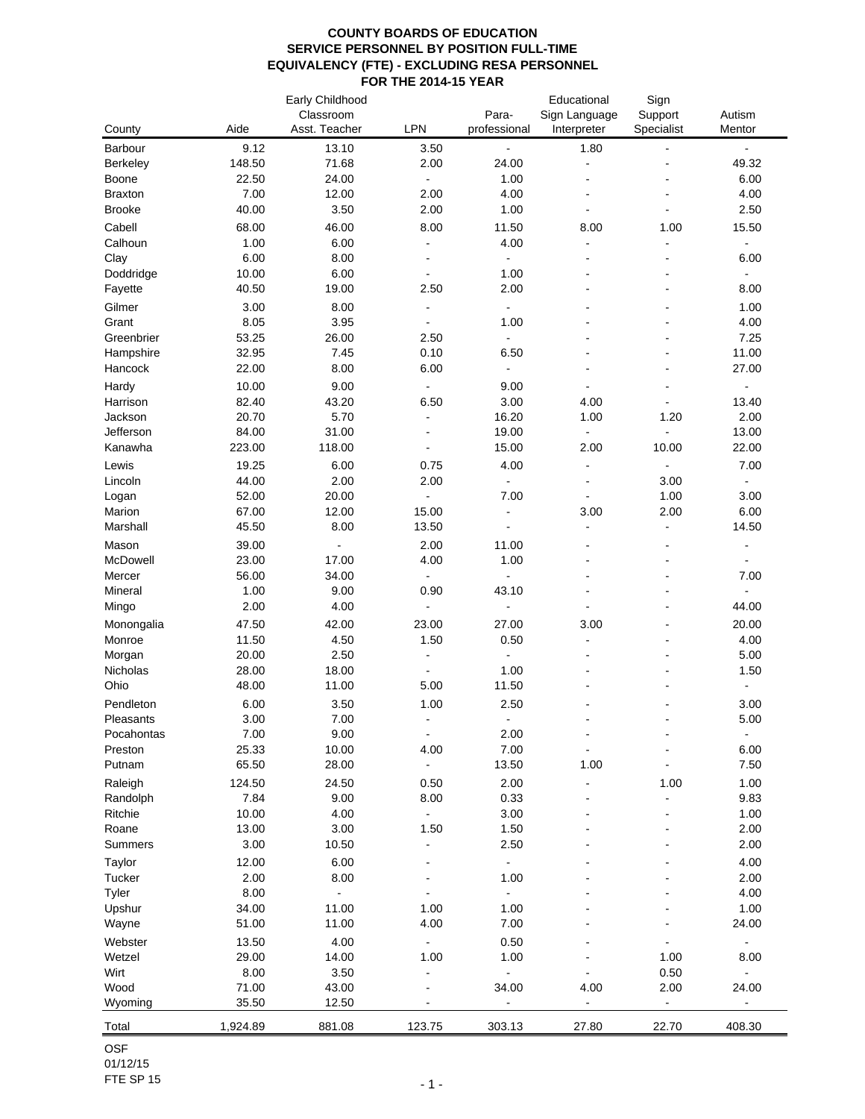|                      |                | Early Childhood            |                              |                       | Educational                  | Sign                             |                       |
|----------------------|----------------|----------------------------|------------------------------|-----------------------|------------------------------|----------------------------------|-----------------------|
| County               | Aide           | Classroom<br>Asst. Teacher | LPN                          | Para-<br>professional | Sign Language<br>Interpreter | Support<br>Specialist            | Autism<br>Mentor      |
| Barbour              | 9.12           | 13.10                      | 3.50                         | $\blacksquare$        | 1.80                         | ÷,                               | ÷.                    |
| Berkeley             | 148.50         | 71.68                      | 2.00                         | 24.00                 | $\overline{a}$               | $\overline{a}$                   | 49.32                 |
| Boone                | 22.50          | 24.00                      | $\Box$                       | 1.00                  | ä,                           | ÷                                | 6.00                  |
| <b>Braxton</b>       | 7.00           | 12.00                      | 2.00                         | 4.00                  | $\blacksquare$               |                                  | 4.00                  |
| <b>Brooke</b>        | 40.00          | 3.50                       | 2.00                         | 1.00                  | $\blacksquare$               |                                  | 2.50                  |
| Cabell               | 68.00          | 46.00                      | 8.00                         | 11.50                 | 8.00                         | 1.00                             | 15.50                 |
| Calhoun              | 1.00           | 6.00                       | ä,                           | 4.00                  | $\blacksquare$               | $\blacksquare$                   | ÷,                    |
| Clay                 | 6.00           | 8.00                       | ä,                           | $\blacksquare$        |                              | ä,                               | 6.00                  |
| Doddridge<br>Fayette | 10.00<br>40.50 | 6.00<br>19.00              | $\blacksquare$<br>2.50       | 1.00<br>2.00          |                              | $\blacksquare$<br>$\overline{a}$ | $\frac{1}{2}$<br>8.00 |
| Gilmer               | 3.00           | 8.00                       | $\blacksquare$               | $\blacksquare$        |                              | $\blacksquare$                   | 1.00                  |
| Grant                | 8.05           | 3.95                       | ÷,                           | 1.00                  |                              | ä,                               | 4.00                  |
| Greenbrier           | 53.25          | 26.00                      | 2.50                         | $\blacksquare$        |                              | ÷                                | 7.25                  |
| Hampshire            | 32.95          | 7.45                       | 0.10                         | 6.50                  |                              |                                  | 11.00                 |
| Hancock              | 22.00          | 8.00                       | 6.00                         | $\blacksquare$        |                              |                                  | 27.00                 |
| Hardy                | 10.00          | 9.00                       | $\blacksquare$               | 9.00                  |                              |                                  | $\blacksquare$        |
| Harrison             | 82.40          | 43.20                      | 6.50                         | 3.00                  | 4.00                         | ÷                                | 13.40                 |
| Jackson              | 20.70          | 5.70                       | $\blacksquare$               | 16.20                 | 1.00                         | 1.20                             | 2.00                  |
| Jefferson            | 84.00          | 31.00                      | $\blacksquare$               | 19.00                 | $\blacksquare$               | ÷,                               | 13.00                 |
| Kanawha              | 223.00         | 118.00                     | L.                           | 15.00                 | 2.00                         | 10.00                            | 22.00                 |
| Lewis                | 19.25          | 6.00                       | 0.75                         | 4.00                  |                              | $\blacksquare$                   | 7.00                  |
| Lincoln              | 44.00          | 2.00                       | 2.00                         | $\blacksquare$        | ä,                           | 3.00                             | ä,                    |
| Logan                | 52.00          | 20.00                      | $\blacksquare$               | 7.00                  | ä,                           | 1.00                             | 3.00                  |
| Marion               | 67.00          | 12.00                      | 15.00                        | $\blacksquare$        | 3.00                         | 2.00                             | 6.00                  |
| Marshall             | 45.50          | 8.00                       | 13.50                        | $\ddot{\phantom{a}}$  | ä,                           | $\blacksquare$                   | 14.50                 |
| Mason                | 39.00          | ä,                         | 2.00                         | 11.00                 |                              | $\blacksquare$                   | $\overline{a}$        |
| McDowell             | 23.00          | 17.00                      | 4.00                         | 1.00                  |                              | $\overline{a}$                   |                       |
| Mercer               | 56.00          | 34.00<br>9.00              | $\blacksquare$               | $\blacksquare$        |                              | L,                               | 7.00<br>÷,            |
| Mineral<br>Mingo     | 1.00<br>2.00   | 4.00                       | 0.90<br>ä,                   | 43.10<br>ä,           |                              | ä,                               | 44.00                 |
| Monongalia           | 47.50          | 42.00                      | 23.00                        | 27.00                 | 3.00                         |                                  | 20.00                 |
| Monroe               | 11.50          | 4.50                       | 1.50                         | 0.50                  |                              |                                  | 4.00                  |
| Morgan               | 20.00          | 2.50                       | $\blacksquare$               | $\blacksquare$        | $\blacksquare$               | $\blacksquare$                   | 5.00                  |
| Nicholas             | 28.00          | 18.00                      | $\blacksquare$               | 1.00                  |                              | $\blacksquare$                   | 1.50                  |
| Ohio                 | 48.00          | 11.00                      | 5.00                         | 11.50                 |                              |                                  | L,                    |
| Pendleton            | 6.00           | 3.50                       | 1.00                         | 2.50                  |                              | $\overline{a}$                   | 3.00                  |
| Pleasants            | 3.00           | 7.00                       | $\blacksquare$               | $\blacksquare$        | $\blacksquare$               | $\blacksquare$                   | 5.00                  |
| Pocahontas           | 7.00           | 9.00                       | $\qquad \qquad \blacksquare$ | 2.00                  |                              |                                  | ÷,                    |
| Preston              | 25.33          | 10.00                      | 4.00                         | 7.00                  | ä,                           |                                  | 6.00                  |
| Putnam               | 65.50          | 28.00                      | $\blacksquare$               | 13.50                 | 1.00                         |                                  | 7.50                  |
| Raleigh              | 124.50         | 24.50                      | 0.50                         | 2.00                  | ä,                           | 1.00                             | 1.00                  |
| Randolph             | 7.84           | 9.00                       | 8.00                         | 0.33                  |                              | $\blacksquare$                   | 9.83                  |
| Ritchie<br>Roane     | 10.00<br>13.00 | 4.00<br>3.00               | ÷,<br>1.50                   | 3.00<br>1.50          |                              | ä,                               | 1.00<br>2.00          |
| Summers              | 3.00           | 10.50                      | ٠                            | 2.50                  |                              |                                  | 2.00                  |
| Taylor               | 12.00          | 6.00                       |                              | $\blacksquare$        |                              |                                  | 4.00                  |
| Tucker               | 2.00           | 8.00                       |                              | 1.00                  |                              |                                  | 2.00                  |
| Tyler                | 8.00           | $\blacksquare$             | ÷                            | $\blacksquare$        |                              |                                  | 4.00                  |
| Upshur               | 34.00          | 11.00                      | 1.00                         | 1.00                  |                              |                                  | 1.00                  |
| Wayne                | 51.00          | 11.00                      | 4.00                         | 7.00                  |                              |                                  | 24.00                 |
| Webster              | 13.50          | 4.00                       |                              | 0.50                  |                              |                                  |                       |
| Wetzel               | 29.00          | 14.00                      | 1.00                         | 1.00                  |                              | 1.00                             | 8.00                  |
| Wirt                 | 8.00           | 3.50                       | ÷,                           | $\blacksquare$        |                              | 0.50                             | $\blacksquare$        |
| Wood                 | 71.00          | 43.00                      |                              | 34.00                 | 4.00                         | 2.00                             | 24.00                 |
| Wyoming              | 35.50          | 12.50                      | $\overline{a}$               | $\blacksquare$        | $\blacksquare$               | $\blacksquare$                   | ÷,                    |
| Total                | 1,924.89       | 881.08                     | 123.75                       | 303.13                | 27.80                        | 22.70                            | 408.30                |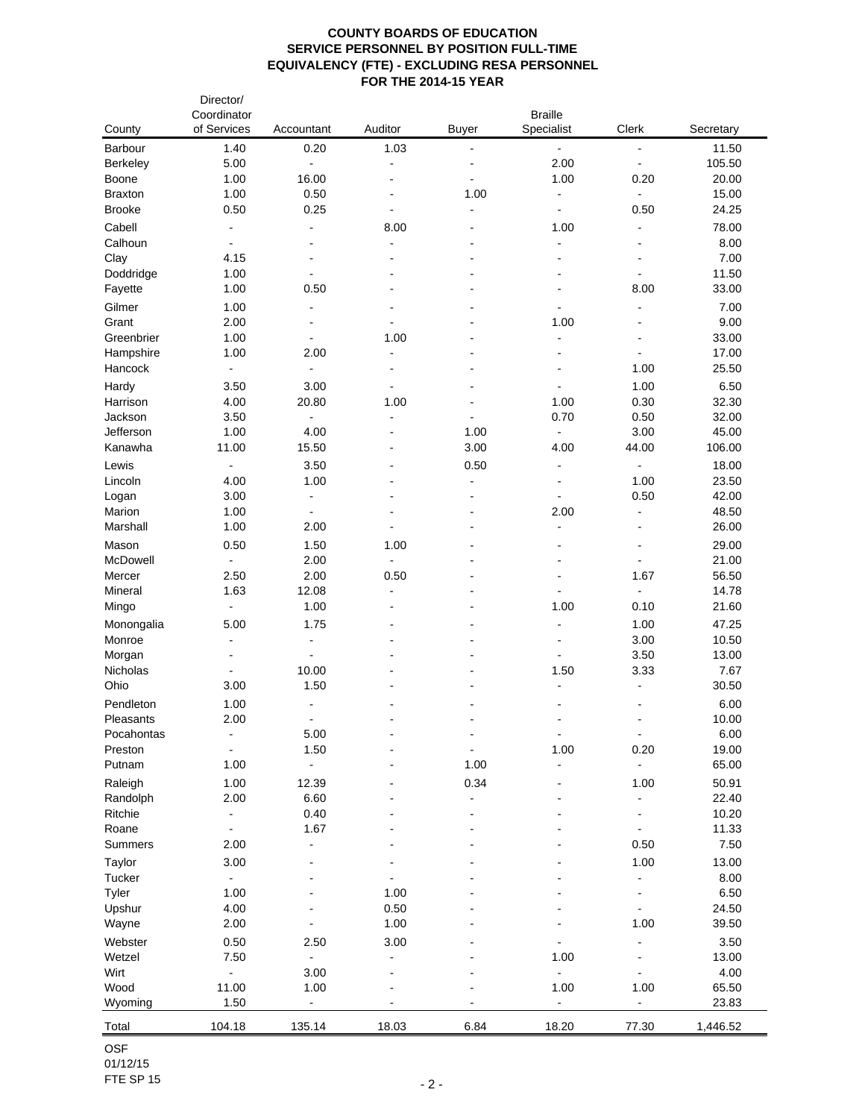|                       | Director/<br>Coordinator |                      |                          |                                  | <b>Braille</b>         |                                      |                |
|-----------------------|--------------------------|----------------------|--------------------------|----------------------------------|------------------------|--------------------------------------|----------------|
| County                | of Services              | Accountant           | Auditor                  | <b>Buyer</b>                     | Specialist             | Clerk                                | Secretary      |
| Barbour               | 1.40                     | 0.20                 | 1.03                     | $\blacksquare$                   | $\blacksquare$         | ÷.                                   | 11.50          |
| Berkeley              | 5.00                     | $\blacksquare$       | $\blacksquare$           | $\blacksquare$                   | 2.00                   | $\blacksquare$                       | 105.50         |
| Boone                 | 1.00                     | 16.00                | $\overline{\phantom{a}}$ | $\blacksquare$                   | 1.00                   | 0.20                                 | 20.00          |
| <b>Braxton</b>        | 1.00                     | 0.50                 | ä,                       | 1.00                             | ÷,                     | $\overline{a}$                       | 15.00          |
| <b>Brooke</b>         | 0.50                     | 0.25                 | $\blacksquare$           | $\sim$                           | ä,                     | 0.50                                 | 24.25          |
| Cabell                | $\blacksquare$           | ä,                   | 8.00                     | ä,                               | 1.00                   |                                      | 78.00          |
| Calhoun               | $\blacksquare$           |                      | $\blacksquare$           | $\blacksquare$                   | ä,                     |                                      | 8.00           |
| Clay                  | 4.15                     |                      | $\blacksquare$           | L.                               | ä,                     | $\overline{a}$                       | 7.00           |
| Doddridge             | 1.00                     | $\blacksquare$       | ٠                        | $\blacksquare$                   | $\blacksquare$         | $\blacksquare$                       | 11.50          |
| Fayette               | 1.00                     | 0.50                 |                          |                                  |                        | 8.00                                 | 33.00          |
| Gilmer                | 1.00                     | $\blacksquare$       | $\blacksquare$           | ٠                                | $\blacksquare$         | $\overline{a}$                       | 7.00           |
| Grant                 | 2.00                     | $\blacksquare$       | $\overline{a}$           | $\blacksquare$                   | 1.00                   |                                      | 9.00           |
| Greenbrier            | 1.00                     | $\blacksquare$       | 1.00                     |                                  | ÷                      |                                      | 33.00          |
| Hampshire             | 1.00                     | 2.00<br>ä,           | $\overline{\phantom{a}}$ |                                  | ä,                     |                                      | 17.00          |
| Hancock               | $\blacksquare$           |                      |                          | $\blacksquare$                   |                        | 1.00                                 | 25.50          |
| Hardy                 | 3.50                     | 3.00                 |                          |                                  | $\blacksquare$         | 1.00                                 | 6.50           |
| Harrison              | 4.00                     | 20.80                | 1.00                     |                                  | 1.00                   | 0.30                                 | 32.30          |
| Jackson               | 3.50                     | ÷,                   | $\blacksquare$           | $\blacksquare$                   | 0.70                   | 0.50                                 | 32.00          |
| Jefferson             | 1.00                     | 4.00                 | $\overline{\phantom{0}}$ | 1.00                             | $\blacksquare$         | 3.00                                 | 45.00          |
| Kanawha               | 11.00                    | 15.50                | $\blacksquare$           | 3.00                             | 4.00                   | 44.00                                | 106.00         |
| Lewis                 | ÷,                       | 3.50                 | $\blacksquare$           | 0.50                             | ÷,                     | $\blacksquare$                       | 18.00          |
| Lincoln               | 4.00                     | 1.00                 |                          | $\blacksquare$                   | $\blacksquare$         | 1.00                                 | 23.50          |
| Logan                 | 3.00                     | $\blacksquare$       |                          | ÷,                               | ÷,                     | 0.50                                 | 42.00          |
| Marion                | 1.00                     | $\blacksquare$       |                          | $\overline{a}$                   | 2.00                   | $\blacksquare$                       | 48.50          |
| Marshall              | 1.00                     | 2.00                 |                          | $\blacksquare$                   | $\blacksquare$         | $\overline{a}$                       | 26.00          |
| Mason                 | 0.50                     | 1.50                 | 1.00                     |                                  |                        |                                      | 29.00          |
| McDowell              | ÷,                       | 2.00                 | $\blacksquare$           | ä,                               | ä,                     |                                      | 21.00          |
| Mercer                | 2.50                     | 2.00                 | 0.50                     |                                  |                        | 1.67                                 | 56.50          |
| Mineral               | 1.63                     | 12.08                | $\blacksquare$           | $\blacksquare$                   |                        | $\overline{a}$                       | 14.78          |
| Mingo                 | $\blacksquare$           | 1.00                 | $\blacksquare$           | $\blacksquare$                   | 1.00                   | 0.10                                 | 21.60          |
| Monongalia            | 5.00                     | 1.75                 |                          | $\blacksquare$                   | ä,                     | 1.00                                 | 47.25          |
| Monroe                | $\blacksquare$           | $\blacksquare$       |                          |                                  | $\overline{a}$         | 3.00                                 | 10.50          |
| Morgan                | $\blacksquare$           | ÷,                   |                          | $\ddot{\phantom{1}}$             | $\blacksquare$         | 3.50                                 | 13.00          |
| Nicholas<br>Ohio      | ۰<br>3.00                | 10.00<br>1.50        |                          |                                  | 1.50                   | 3.33                                 | 7.67<br>30.50  |
|                       |                          |                      |                          |                                  |                        |                                      |                |
| Pendleton             | 1.00                     | $\blacksquare$       |                          |                                  |                        | $\ddot{\phantom{1}}$                 | 6.00           |
| Pleasants             | 2.00                     | $\overline{a}$       |                          |                                  | ä,                     | $\blacksquare$                       | 10.00          |
| Pocahontas<br>Preston |                          | 5.00<br>1.50         |                          | $\blacksquare$<br>$\blacksquare$ | 1.00                   | 0.20                                 | 6.00<br>19.00  |
| Putnam                | 1.00                     | $\blacksquare$       |                          | 1.00                             |                        | $\frac{1}{2}$                        | 65.00          |
|                       |                          |                      |                          |                                  |                        |                                      |                |
| Raleigh               | 1.00                     | 12.39                |                          | 0.34                             |                        | 1.00                                 | 50.91          |
| Randolph              | 2.00                     | 6.60                 |                          | $\blacksquare$                   |                        | $\blacksquare$                       | 22.40          |
| Ritchie<br>Roane      | ÷<br>÷,                  | 0.40<br>1.67         |                          | $\blacksquare$                   |                        | $\blacksquare$<br>$\overline{a}$     | 10.20<br>11.33 |
| Summers               | 2.00                     | $\ddot{\phantom{1}}$ |                          |                                  |                        | 0.50                                 | 7.50           |
|                       |                          |                      |                          |                                  |                        |                                      |                |
| Taylor                | 3.00                     |                      |                          |                                  |                        | 1.00                                 | 13.00          |
| Tucker                | ÷                        |                      |                          |                                  |                        |                                      | 8.00           |
| Tyler<br>Upshur       | 1.00<br>4.00             |                      | 1.00<br>0.50             |                                  |                        | ä,                                   | 6.50<br>24.50  |
| Wayne                 | 2.00                     |                      | 1.00                     |                                  |                        | 1.00                                 | 39.50          |
|                       |                          |                      |                          |                                  |                        |                                      |                |
| Webster               | 0.50                     | 2.50                 | 3.00                     |                                  |                        |                                      | 3.50           |
| Wetzel                | 7.50                     | ÷,                   |                          |                                  | 1.00                   |                                      | 13.00          |
| Wirt                  | ÷,                       | 3.00                 |                          |                                  |                        |                                      | 4.00           |
| Wood<br>Wyoming       | 11.00<br>1.50            | 1.00<br>$\Box$       |                          |                                  | 1.00<br>$\blacksquare$ | 1.00<br>$\qquad \qquad \blacksquare$ | 65.50<br>23.83 |
| Total                 | 104.18                   | 135.14               | 18.03                    | 6.84                             | 18.20                  | 77.30                                | 1,446.52       |
|                       |                          |                      |                          |                                  |                        |                                      |                |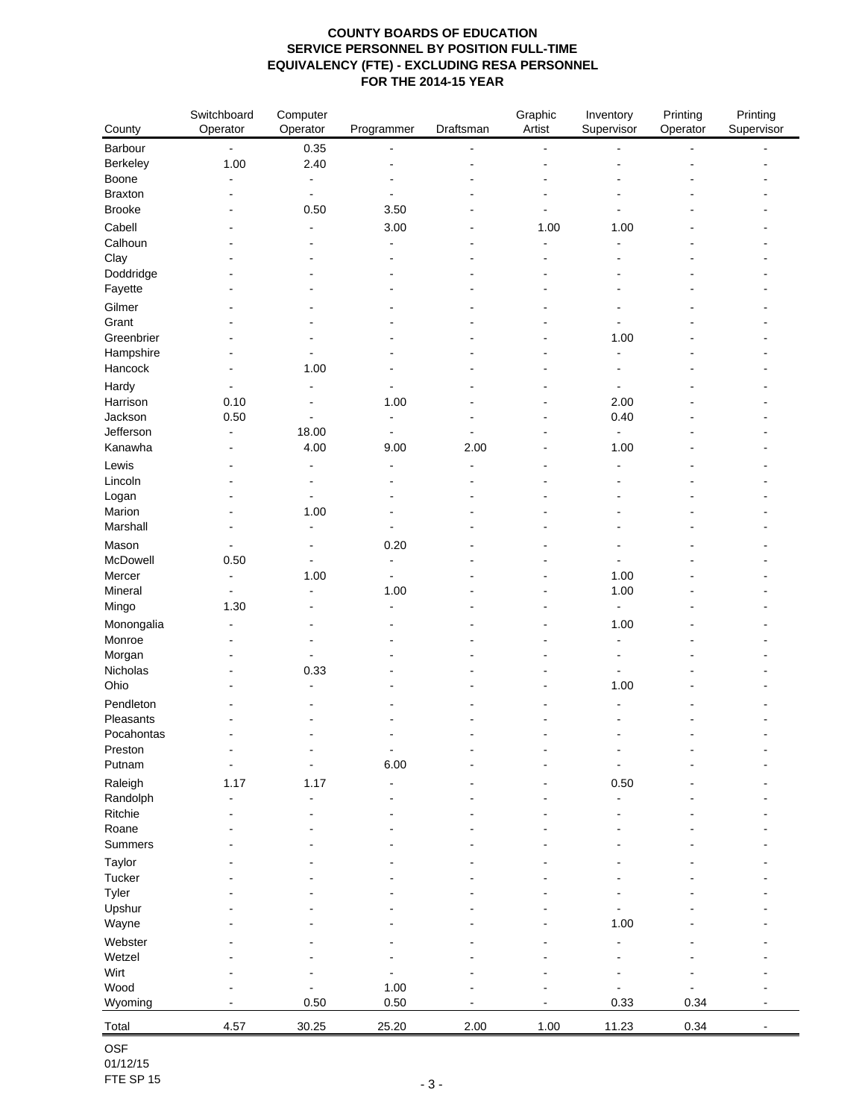| County               | Switchboard<br>Operator          | Computer<br>Operator   | Programmer                       | Draftsman | Graphic<br>Artist | Inventory<br>Supervisor          | Printing<br>Operator | Printing<br>Supervisor |
|----------------------|----------------------------------|------------------------|----------------------------------|-----------|-------------------|----------------------------------|----------------------|------------------------|
| Barbour              | $\blacksquare$                   | 0.35                   |                                  |           | $\blacksquare$    | ä,                               | ÷                    |                        |
| Berkeley             | 1.00                             | 2.40                   |                                  |           |                   |                                  |                      |                        |
| Boone                | $\overline{\phantom{0}}$         | $\blacksquare$         |                                  |           |                   |                                  |                      |                        |
| <b>Braxton</b>       | $\overline{a}$                   | ÷,                     |                                  |           |                   |                                  |                      |                        |
| <b>Brooke</b>        | ÷.                               | 0.50                   | 3.50                             |           |                   |                                  |                      |                        |
| Cabell               |                                  |                        | 3.00                             |           | 1.00              | 1.00                             |                      |                        |
| Calhoun              |                                  |                        | $\ddot{\phantom{1}}$             |           | $\overline{a}$    | $\overline{a}$                   |                      |                        |
| Clay                 |                                  |                        |                                  |           |                   |                                  |                      |                        |
| Doddridge            |                                  |                        |                                  |           |                   |                                  |                      |                        |
| Fayette              |                                  |                        |                                  |           |                   |                                  |                      |                        |
| Gilmer               |                                  |                        |                                  |           |                   |                                  |                      |                        |
| Grant                |                                  |                        |                                  |           |                   | L,                               |                      |                        |
| Greenbrier           |                                  |                        |                                  |           |                   | 1.00                             |                      |                        |
| Hampshire            |                                  |                        |                                  |           |                   | $\overline{a}$                   |                      |                        |
| Hancock              |                                  | 1.00                   |                                  |           |                   |                                  |                      |                        |
| Hardy                |                                  |                        |                                  |           |                   | $\blacksquare$                   |                      |                        |
| Harrison             | 0.10                             |                        | 1.00                             |           |                   | 2.00                             |                      |                        |
| Jackson              | 0.50                             | $\blacksquare$         | $\overline{a}$                   |           |                   | 0.40                             |                      |                        |
| Jefferson            | $\blacksquare$                   | 18.00                  | L,                               | -         |                   | $\overline{\phantom{a}}$         |                      |                        |
| Kanawha              |                                  | 4.00                   | 9.00                             | 2.00      |                   | 1.00                             |                      |                        |
| Lewis                | ۰                                | $\blacksquare$         |                                  |           |                   | L.                               |                      |                        |
| Lincoln              |                                  |                        |                                  |           |                   |                                  |                      |                        |
| Logan                |                                  | $\overline{a}$         |                                  |           |                   |                                  |                      |                        |
| Marion               |                                  | 1.00<br>$\overline{a}$ |                                  |           |                   |                                  |                      |                        |
| Marshall             |                                  |                        |                                  |           |                   |                                  |                      |                        |
| Mason                |                                  |                        | 0.20                             |           |                   |                                  |                      |                        |
| McDowell             | 0.50                             | $\overline{a}$         | $\overline{a}$<br>$\blacksquare$ |           |                   | $\overline{\phantom{a}}$<br>1.00 |                      |                        |
| Mercer<br>Mineral    | $\overline{a}$<br>$\blacksquare$ | 1.00<br>$\blacksquare$ | 1.00                             |           |                   | 1.00                             |                      |                        |
| Mingo                | 1.30                             |                        |                                  |           |                   | ä,                               |                      |                        |
|                      |                                  |                        |                                  |           |                   | 1.00                             |                      |                        |
| Monongalia<br>Monroe | ÷                                |                        |                                  |           |                   | $\overline{a}$                   |                      |                        |
| Morgan               |                                  |                        |                                  |           |                   |                                  |                      |                        |
| Nicholas             |                                  | 0.33                   |                                  |           |                   |                                  |                      |                        |
| Ohio                 |                                  |                        |                                  |           |                   | 1.00                             |                      |                        |
| Pendleton            |                                  |                        |                                  |           |                   |                                  |                      |                        |
| Pleasants            |                                  |                        |                                  |           |                   |                                  |                      |                        |
| Pocahontas           | ٠                                |                        |                                  |           |                   | $\sim$                           |                      |                        |
| Preston              | $\blacksquare$                   | $\blacksquare$         | $\blacksquare$                   |           |                   | $\blacksquare$                   |                      |                        |
| Putnam               |                                  |                        | 6.00                             |           |                   | $\ddot{\phantom{a}}$             |                      |                        |
| Raleigh              | 1.17                             | 1.17                   | $\blacksquare$                   |           |                   | 0.50                             |                      |                        |
| Randolph             | $\overline{a}$                   | $\overline{a}$         |                                  |           |                   | $\ddot{\phantom{a}}$             |                      |                        |
| Ritchie              |                                  |                        |                                  |           |                   |                                  |                      |                        |
| Roane                |                                  |                        |                                  |           |                   |                                  |                      |                        |
| Summers              |                                  |                        |                                  |           |                   |                                  |                      |                        |
| Taylor               |                                  |                        |                                  |           |                   |                                  |                      |                        |
| Tucker               |                                  |                        |                                  |           |                   |                                  |                      |                        |
| Tyler                |                                  |                        |                                  |           |                   |                                  |                      |                        |
| Upshur               |                                  |                        |                                  |           |                   |                                  |                      |                        |
| Wayne                |                                  |                        |                                  |           |                   | 1.00                             |                      |                        |
| Webster              |                                  |                        |                                  |           |                   |                                  |                      |                        |
| Wetzel               |                                  |                        |                                  |           |                   |                                  |                      |                        |
| Wirt                 |                                  |                        |                                  |           |                   |                                  |                      |                        |
| Wood<br>Wyoming      |                                  | 0.50                   | 1.00                             |           |                   | $\overline{a}$<br>0.33           | 0.34                 |                        |
|                      |                                  |                        | 0.50                             |           |                   |                                  |                      |                        |
| Total                | 4.57                             | 30.25                  | 25.20                            | 2.00      | 1.00              | 11.23                            | 0.34                 | $\blacksquare$         |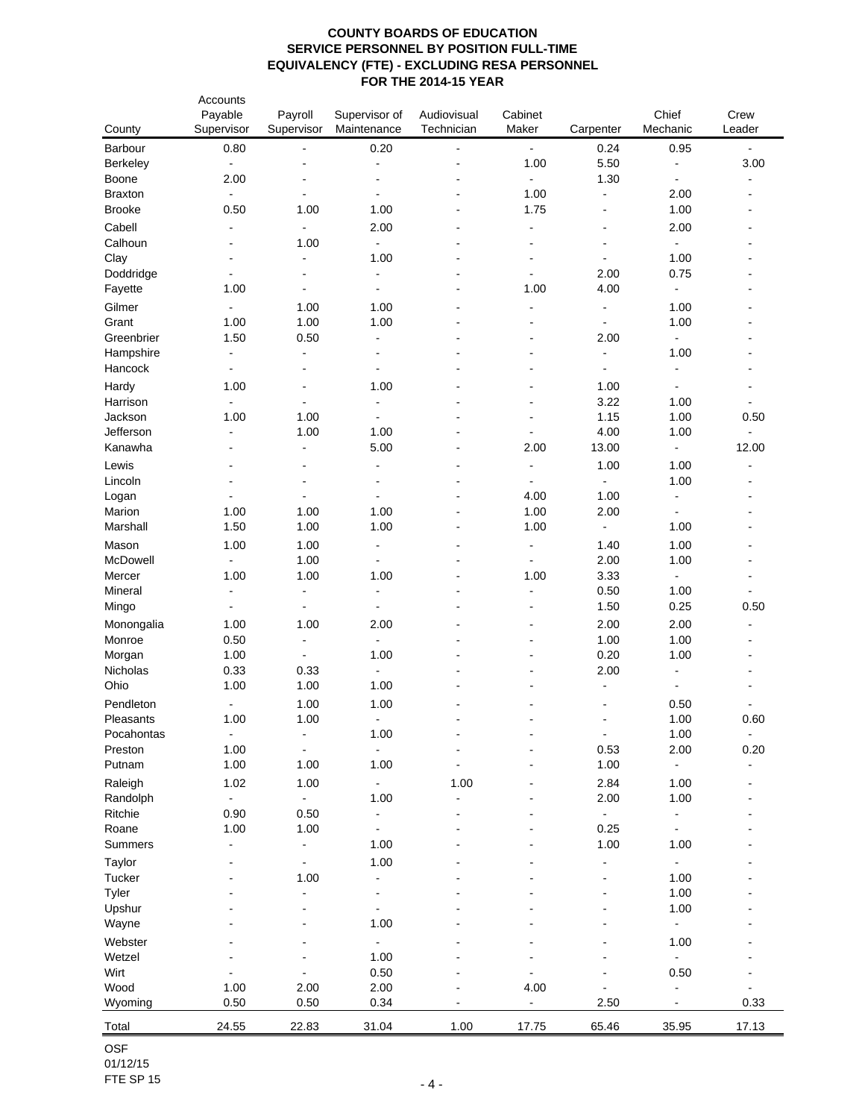| County            | Accounts<br>Payable<br>Supervisor | Payroll<br>Supervisor        | Supervisor of<br>Maintenance | Audiovisual<br>Technician | Cabinet<br>Maker       | Carpenter              | Chief<br>Mechanic      | Crew<br>Leader |
|-------------------|-----------------------------------|------------------------------|------------------------------|---------------------------|------------------------|------------------------|------------------------|----------------|
| Barbour           | 0.80                              | $\blacksquare$               | 0.20                         | $\blacksquare$            | $\omega$               | 0.24                   | 0.95                   | $\blacksquare$ |
| Berkeley          | $\blacksquare$                    |                              | $\blacksquare$               |                           | 1.00                   | 5.50                   | $\blacksquare$         | 3.00           |
| Boone             | 2.00                              |                              | $\ddot{\phantom{a}}$         |                           | $\Box$                 | 1.30                   | $\blacksquare$         |                |
| <b>Braxton</b>    | $\blacksquare$                    |                              | $\overline{a}$               |                           | 1.00                   | ÷,                     | 2.00                   |                |
| <b>Brooke</b>     | 0.50                              | 1.00                         | 1.00                         |                           | 1.75                   | ÷,                     | 1.00                   |                |
| Cabell            | $\overline{a}$                    | $\overline{a}$               | 2.00                         |                           |                        | L,                     | 2.00                   |                |
| Calhoun           |                                   | 1.00                         | $\blacksquare$               |                           |                        | $\tilde{\phantom{a}}$  | $\blacksquare$         |                |
| Clay              | $\overline{a}$                    | $\frac{1}{2}$                | 1.00                         |                           | $\blacksquare$         | ÷,                     | 1.00                   |                |
| Doddridge         | $\blacksquare$                    | $\ddot{\phantom{1}}$         | ä,                           | $\blacksquare$            | $\blacksquare$         | 2.00                   | 0.75                   |                |
| Fayette           | 1.00                              | $\overline{a}$               | $\blacksquare$               |                           | 1.00                   | 4.00                   | $\blacksquare$         |                |
| Gilmer            | ÷,                                | 1.00                         | 1.00                         |                           | $\overline{a}$         | $\blacksquare$         | 1.00                   |                |
| Grant             | 1.00                              | 1.00                         | 1.00                         | $\overline{a}$            | $\ddot{\phantom{1}}$   | $\blacksquare$         | 1.00                   |                |
| Greenbrier        | 1.50                              | 0.50                         | $\blacksquare$               |                           |                        | 2.00                   | $\blacksquare$         |                |
| Hampshire         | ÷,                                | $\frac{1}{2}$                |                              |                           |                        | $\blacksquare$         | 1.00                   |                |
| Hancock           | $\ddot{\phantom{1}}$              |                              | $\blacksquare$               |                           |                        | $\blacksquare$         | $\blacksquare$         |                |
| Hardy             | 1.00                              | $\overline{a}$               | 1.00                         |                           |                        | 1.00                   | $\blacksquare$         |                |
| Harrison          | $\blacksquare$                    | L,                           | ä,                           |                           |                        | 3.22                   | 1.00                   |                |
| Jackson           | 1.00                              | 1.00                         | ä,                           |                           | $\blacksquare$         | 1.15                   | 1.00                   | 0.50           |
| Jefferson         | $\blacksquare$                    | 1.00                         | 1.00                         |                           | $\blacksquare$         | 4.00                   | 1.00                   | $\blacksquare$ |
| Kanawha           |                                   | $\blacksquare$               | 5.00                         |                           | 2.00                   | 13.00                  | $\blacksquare$         | 12.00          |
| Lewis             |                                   | $\blacksquare$               | $\ddot{\phantom{a}}$         |                           | $\blacksquare$         | 1.00                   | 1.00                   |                |
| Lincoln           |                                   | $\ddot{\phantom{1}}$         | $\overline{a}$               | $\overline{a}$            | $\sim$                 | $\blacksquare$         | 1.00                   |                |
| Logan<br>Marion   |                                   | $\overline{a}$               | $\ddot{\phantom{a}}$         |                           | 4.00                   | 1.00                   | $\blacksquare$         |                |
| Marshall          | 1.00<br>1.50                      | 1.00<br>1.00                 | 1.00<br>1.00                 | $\overline{\phantom{a}}$  | 1.00<br>1.00           | 2.00<br>$\blacksquare$ | $\blacksquare$<br>1.00 |                |
|                   |                                   |                              |                              |                           |                        |                        |                        |                |
| Mason<br>McDowell | 1.00<br>$\blacksquare$            | 1.00                         | $\blacksquare$               |                           | $\blacksquare$         | 1.40                   | 1.00                   |                |
| Mercer            | 1.00                              | 1.00<br>1.00                 | $\blacksquare$<br>1.00       |                           | $\blacksquare$<br>1.00 | 2.00<br>3.33           | 1.00<br>$\blacksquare$ |                |
| Mineral           | $\overline{a}$                    | $\qquad \qquad \blacksquare$ | $\blacksquare$               |                           | $\overline{a}$         | 0.50                   | 1.00                   |                |
| Mingo             | $\overline{a}$                    | $\overline{a}$               | $\ddot{\phantom{a}}$         |                           | $\blacksquare$         | 1.50                   | 0.25                   | 0.50           |
| Monongalia        | 1.00                              | 1.00                         | 2.00                         |                           |                        | 2.00                   | 2.00                   |                |
| Monroe            | 0.50                              | $\overline{a}$               | $\blacksquare$               |                           |                        | 1.00                   | 1.00                   |                |
| Morgan            | 1.00                              | $\blacksquare$               | 1.00                         |                           |                        | 0.20                   | 1.00                   |                |
| Nicholas          | 0.33                              | 0.33                         | $\blacksquare$               |                           |                        | 2.00                   | $\blacksquare$         |                |
| Ohio              | 1.00                              | 1.00                         | 1.00                         |                           |                        | $\overline{a}$         | $\frac{1}{2}$          |                |
| Pendleton         | $\overline{a}$                    | 1.00                         | 1.00                         |                           |                        |                        | 0.50                   |                |
| Pleasants         | 1.00                              | 1.00                         | $\blacksquare$               |                           |                        |                        | 1.00                   | 0.60           |
| Pocahontas        | $\blacksquare$                    |                              | 1.00                         |                           |                        | $\blacksquare$         | 1.00                   | $\blacksquare$ |
| Preston           | 1.00                              | $\overline{a}$               | $\overline{\phantom{a}}$     |                           |                        | 0.53                   | 2.00                   | 0.20           |
| Putnam            | 1.00                              | 1.00                         | 1.00                         | $\overline{a}$            |                        | 1.00                   | ÷.                     |                |
| Raleigh           | 1.02                              | 1.00                         | $\blacksquare$               | 1.00                      |                        | 2.84                   | 1.00                   |                |
| Randolph          | ÷,                                | $\overline{a}$               | 1.00                         | $\overline{a}$            |                        | 2.00                   | 1.00                   |                |
| Ritchie           | 0.90                              | 0.50                         | $\blacksquare$               |                           |                        | $\blacksquare$         | $\blacksquare$         |                |
| Roane             | 1.00                              | 1.00                         | $\blacksquare$               |                           |                        | 0.25                   | $\blacksquare$         |                |
| Summers           | $\ddot{\phantom{1}}$              | $\overline{a}$               | 1.00                         |                           |                        | 1.00                   | 1.00                   |                |
| Taylor            |                                   | $\overline{a}$               | 1.00                         |                           |                        |                        | $\blacksquare$         |                |
| Tucker            |                                   | 1.00                         | $\ddot{\phantom{1}}$         |                           |                        |                        | 1.00                   |                |
| Tyler             |                                   | $\overline{a}$               | $\overline{\phantom{a}}$     |                           |                        |                        | 1.00                   |                |
| Upshur            |                                   | ä,                           | ÷,                           |                           |                        |                        | 1.00                   |                |
| Wayne             |                                   |                              | 1.00                         |                           |                        |                        | $\blacksquare$         |                |
| Webster           |                                   |                              | $\overline{a}$               |                           |                        |                        | 1.00                   |                |
| Wetzel            |                                   |                              | 1.00                         |                           |                        |                        | $\blacksquare$         |                |
| Wirt              |                                   |                              | 0.50                         |                           |                        |                        | 0.50                   |                |
| Wood              | 1.00                              | 2.00                         | 2.00                         |                           | 4.00                   | ä,                     | $\blacksquare$         |                |
| Wyoming           | 0.50                              | 0.50                         | 0.34                         |                           | $\hat{\mathbf{r}}$     | 2.50                   | $\frac{1}{2}$          | 0.33           |
| Total             | 24.55                             | 22.83                        | 31.04                        | 1.00                      | 17.75                  | 65.46                  | 35.95                  | 17.13          |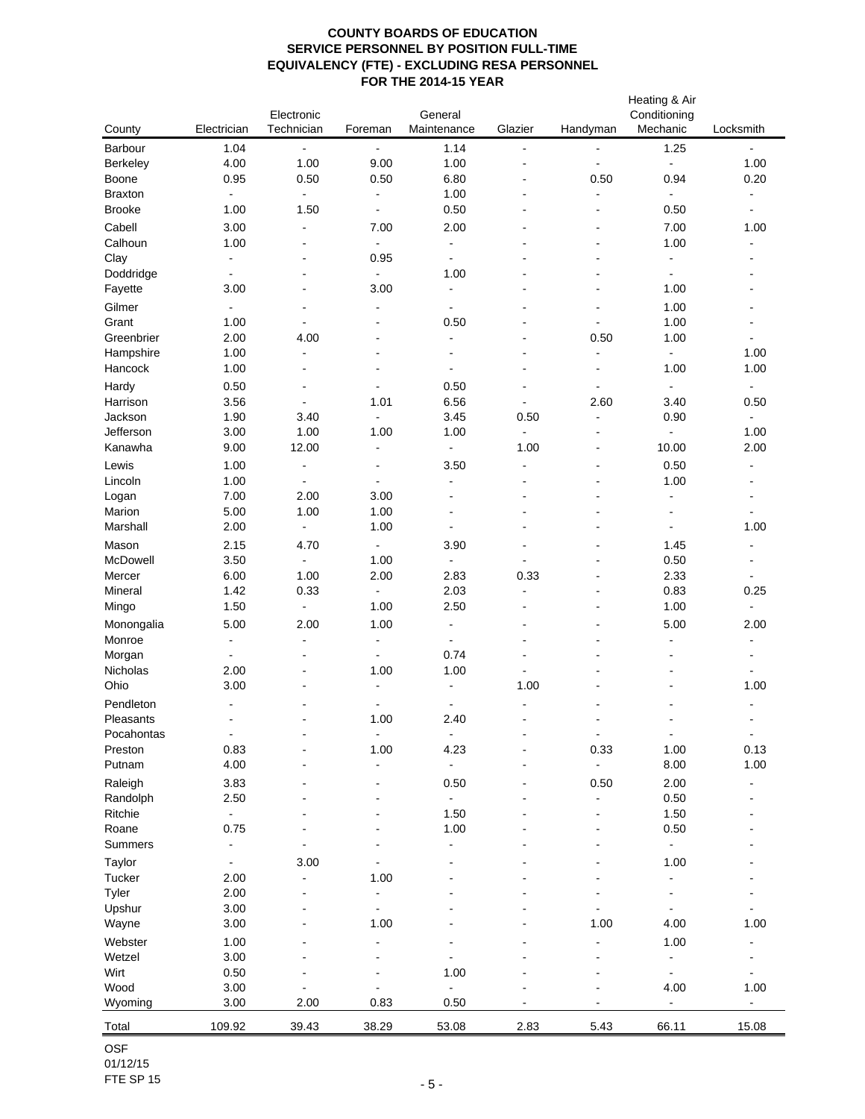|                |                          |                       |                          |                |                      |                          | Heating & Air            |                    |
|----------------|--------------------------|-----------------------|--------------------------|----------------|----------------------|--------------------------|--------------------------|--------------------|
|                |                          | Electronic            |                          | General        |                      |                          | Conditioning             |                    |
| County         | Electrician              | Technician            | Foreman                  | Maintenance    | Glazier              | Handyman                 | Mechanic                 | Locksmith          |
| Barbour        | 1.04                     | ä,                    | $\blacksquare$           | 1.14           | ä,                   | $\blacksquare$           | 1.25                     | $\hat{\mathbf{r}}$ |
| Berkeley       | 4.00                     | 1.00                  | 9.00                     | 1.00           | $\overline{a}$       | $\blacksquare$           | $\blacksquare$           | 1.00               |
| Boone          | 0.95                     | 0.50                  | 0.50                     | 6.80           |                      | 0.50                     | 0.94                     | 0.20               |
| <b>Braxton</b> | $\blacksquare$           | $\blacksquare$        | $\blacksquare$           | 1.00           |                      | $\blacksquare$           | $\blacksquare$           | $\blacksquare$     |
| <b>Brooke</b>  | 1.00                     | 1.50                  | $\blacksquare$           | 0.50           | $\sim$               | $\blacksquare$           | 0.50                     | $\blacksquare$     |
| Cabell         | 3.00                     | $\blacksquare$        | 7.00                     | 2.00           |                      | $\overline{a}$           | 7.00                     | 1.00               |
| Calhoun        | 1.00                     | $\blacksquare$        | $\blacksquare$           | $\blacksquare$ | $\sim$               | $\blacksquare$           | 1.00                     |                    |
| Clay           | ÷                        | $\blacksquare$        | 0.95                     | $\blacksquare$ |                      | $\blacksquare$           | $\blacksquare$           | $\blacksquare$     |
| Doddridge      | ÷,                       | $\blacksquare$        | $\blacksquare$           | 1.00           |                      | $\blacksquare$           | $\sim$                   | $\blacksquare$     |
| Fayette        | 3.00                     | $\overline{a}$        | 3.00                     | ä,             | L,                   | $\blacksquare$           | 1.00                     | ÷.                 |
| Gilmer         | ÷,                       | $\blacksquare$        | $\overline{a}$           | $\blacksquare$ |                      | $\blacksquare$           | 1.00                     | $\blacksquare$     |
| Grant          | 1.00                     | $\tilde{\phantom{a}}$ | $\overline{\phantom{a}}$ | 0.50           |                      | $\blacksquare$           | 1.00                     | ۰                  |
| Greenbrier     | 2.00                     | 4.00                  | $\ddot{\phantom{a}}$     | $\blacksquare$ | $\overline{a}$       | 0.50                     | 1.00                     | $\blacksquare$     |
| Hampshire      | 1.00                     | $\blacksquare$        | $\overline{a}$           | L,             | $\blacksquare$       | $\blacksquare$           | $\blacksquare$           | 1.00               |
| Hancock        | 1.00                     | $\overline{a}$        |                          | $\blacksquare$ | $\ddot{\phantom{1}}$ | $\overline{\phantom{a}}$ | 1.00                     | 1.00               |
| Hardy          | 0.50                     | $\blacksquare$        | $\blacksquare$           | 0.50           | $\overline{a}$       | $\blacksquare$           | $\blacksquare$           | $\blacksquare$     |
| Harrison       | 3.56                     | $\blacksquare$        | 1.01                     | 6.56           | $\ddot{\phantom{a}}$ | 2.60                     | 3.40                     | 0.50               |
| Jackson        | 1.90                     | 3.40                  | $\overline{\phantom{a}}$ | 3.45           | 0.50                 | $\blacksquare$           | 0.90                     | $\omega$           |
| Jefferson      | 3.00                     | 1.00                  | 1.00                     | 1.00           | $\blacksquare$       | $\overline{\phantom{a}}$ | $\blacksquare$           | 1.00               |
| Kanawha        | 9.00                     | 12.00                 | $\blacksquare$           | $\blacksquare$ | 1.00                 | $\blacksquare$           | 10.00                    | 2.00               |
| Lewis          | 1.00                     | ä,                    | $\blacksquare$           | 3.50           | ä,                   | $\overline{\phantom{a}}$ | 0.50                     | $\blacksquare$     |
| Lincoln        | 1.00                     | ä,                    | $\blacksquare$           | $\blacksquare$ | $\overline{a}$       | $\overline{a}$           | 1.00                     | $\sim$             |
| Logan          | 7.00                     | 2.00                  | 3.00                     |                |                      |                          | $\blacksquare$           | $\blacksquare$     |
| Marion         | 5.00                     | 1.00                  | 1.00                     | $\blacksquare$ |                      |                          | $\blacksquare$           | $\blacksquare$     |
| Marshall       | 2.00                     | $\blacksquare$        | 1.00                     | $\blacksquare$ |                      | $\blacksquare$           | $\blacksquare$           | 1.00               |
| Mason          | 2.15                     | 4.70                  | $\blacksquare$           | 3.90           | $\overline{a}$       | $\blacksquare$           | 1.45                     | ä,                 |
| McDowell       | 3.50                     | ä,                    | 1.00                     | $\blacksquare$ |                      | ÷                        | 0.50                     | $\blacksquare$     |
| Mercer         | 6.00                     | 1.00                  | 2.00                     | 2.83           | 0.33                 | $\blacksquare$           | 2.33                     | $\blacksquare$     |
| Mineral        | 1.42                     | 0.33                  | $\blacksquare$           | 2.03           | $\blacksquare$       | $\blacksquare$           | 0.83                     | 0.25               |
| Mingo          | 1.50                     | $\blacksquare$        | 1.00                     | 2.50           | $\blacksquare$       | $\overline{a}$           | 1.00                     | $\blacksquare$     |
| Monongalia     | 5.00                     | 2.00                  | 1.00                     | $\blacksquare$ | $\sim$               | $\sim$                   | 5.00                     | 2.00               |
| Monroe         | $\frac{1}{2}$            | $\blacksquare$        | $\blacksquare$           | $\blacksquare$ |                      |                          | $\blacksquare$           | $\blacksquare$     |
| Morgan         | $\overline{a}$           | $\ddot{\phantom{1}}$  | $\blacksquare$           | 0.74           | $\ddot{\phantom{a}}$ |                          | $\overline{\phantom{a}}$ | $\blacksquare$     |
| Nicholas       | 2.00                     | ä,                    | 1.00                     | 1.00           | $\blacksquare$       |                          | $\overline{a}$           | $\blacksquare$     |
| Ohio           | 3.00                     | $\blacksquare$        | $\blacksquare$           | $\blacksquare$ | 1.00                 |                          |                          | 1.00               |
| Pendleton      | $\blacksquare$           |                       | $\ddot{\phantom{a}}$     | $\overline{a}$ |                      |                          |                          | $\blacksquare$     |
| Pleasants      | $\blacksquare$           | $\blacksquare$        | 1.00                     | 2.40           | $\blacksquare$       | $\blacksquare$           | $\overline{a}$           | ۰                  |
| Pocahontas     | ÷,                       |                       | $\ddot{\phantom{a}}$     | $\blacksquare$ |                      | $\blacksquare$           | $\blacksquare$           | $\blacksquare$     |
| Preston        | 0.83                     |                       | 1.00                     | 4.23           |                      | 0.33                     | 1.00                     | 0.13               |
| Putnam         | 4.00                     |                       |                          | $\overline{a}$ |                      |                          | 8.00                     | 1.00               |
| Raleigh        | 3.83                     |                       |                          | 0.50           |                      | 0.50                     | 2.00                     |                    |
| Randolph       | 2.50                     |                       |                          | $\blacksquare$ |                      | L,                       | 0.50                     |                    |
| Ritchie        | $\overline{\phantom{a}}$ |                       |                          | 1.50           |                      |                          | 1.50                     |                    |
| Roane          | 0.75                     |                       |                          | 1.00           |                      |                          | 0.50                     |                    |
| Summers        |                          |                       |                          |                |                      |                          | $\blacksquare$           |                    |
| Taylor         | $\blacksquare$           | 3.00                  |                          |                |                      |                          | 1.00                     |                    |
| Tucker         | 2.00                     |                       | 1.00                     |                |                      |                          |                          |                    |
| Tyler          | 2.00                     |                       |                          |                |                      |                          |                          |                    |
| Upshur         | 3.00                     |                       |                          |                |                      |                          |                          |                    |
| Wayne          | 3.00                     |                       | 1.00                     |                |                      | 1.00                     | 4.00                     | 1.00               |
| Webster        | 1.00                     |                       |                          |                |                      |                          | 1.00                     |                    |
| Wetzel         | 3.00                     |                       |                          |                |                      |                          | Ē,                       |                    |
| Wirt           | 0.50                     |                       |                          | 1.00           |                      |                          | $\blacksquare$           |                    |
| Wood           | 3.00                     |                       |                          |                |                      |                          | 4.00                     | 1.00               |
| Wyoming        | 3.00                     | 2.00                  | 0.83                     | 0.50           |                      |                          | ä,                       | ä,                 |
|                |                          |                       |                          |                |                      |                          |                          |                    |
| Total          | 109.92                   | 39.43                 | 38.29                    | 53.08          | 2.83                 | 5.43                     | 66.11                    | 15.08              |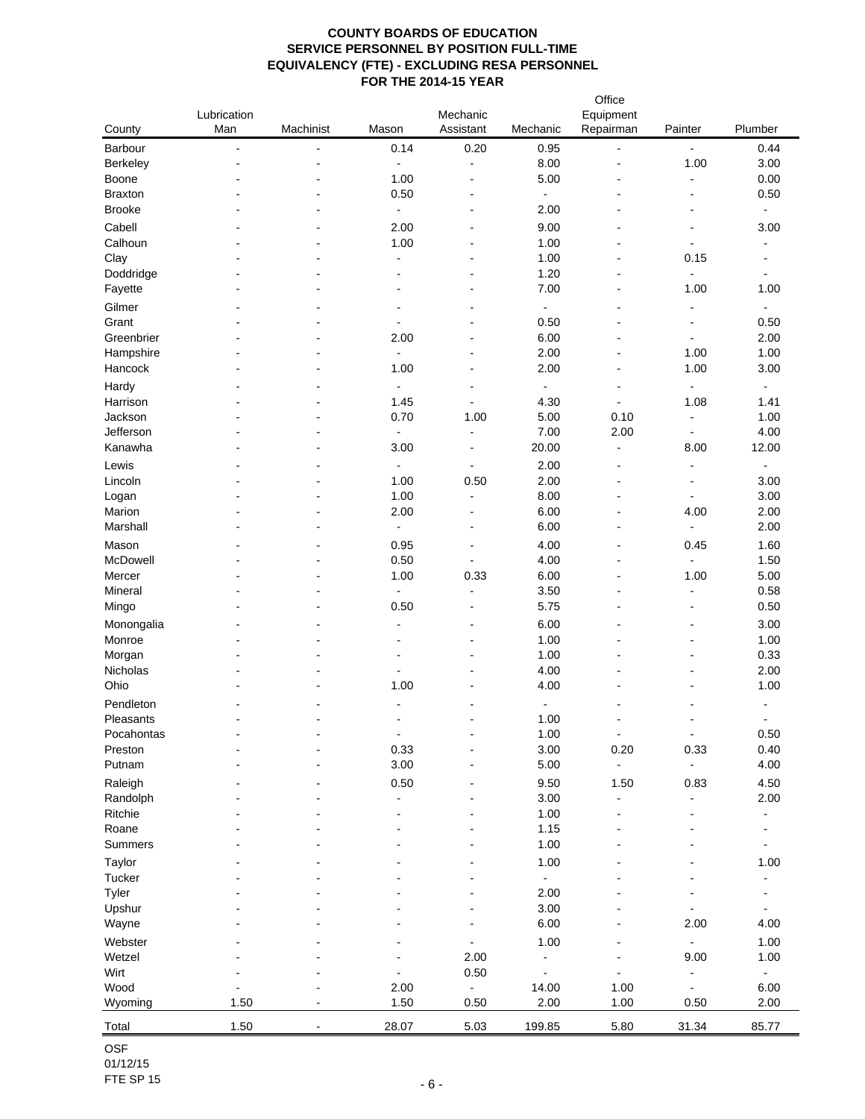| Equipment<br>Lubrication<br>Mechanic<br>Assistant<br>Man<br>Machinist<br>Mechanic<br>Repairman<br>Painter<br>Plumber<br>County<br>Mason<br>0.20<br>0.14<br>0.95<br>0.44<br>Barbour<br>$\overline{a}$<br>$\blacksquare$<br>$\overline{a}$<br>$\blacksquare$<br>3.00<br>Berkeley<br>8.00<br>1.00<br>$\blacksquare$<br>$\blacksquare$<br>$\ddot{\phantom{a}}$<br>0.00<br>1.00<br>5.00<br>Boone<br>÷,<br>ä,<br>0.50<br>0.50<br><b>Braxton</b><br>ä,<br>ä,<br>ä,<br>2.00<br><b>Brooke</b><br>$\blacksquare$<br>$\blacksquare$<br>$\overline{a}$<br>$\blacksquare$<br>$\sim$<br>Cabell<br>9.00<br>2.00<br>3.00<br>$\blacksquare$<br>L,<br>Ē,<br>Calhoun<br>1.00<br>1.00<br>$\blacksquare$<br>۰<br>$\sim$<br>1.00<br>0.15<br>Clay<br>$\blacksquare$<br>$\blacksquare$<br>۰<br>Doddridge<br>1.20<br>ä,<br>ä,<br>$\sim$<br>$\overline{a}$<br>$\overline{a}$<br>Fayette<br>7.00<br>1.00<br>1.00<br>$\blacksquare$<br>ä,<br>$\ddot{\phantom{a}}$<br>Gilmer<br>$\mathbf{r}$<br>$\blacksquare$<br>$\sim$<br>$\overline{a}$<br>$\blacksquare$<br>$\ddot{\phantom{a}}$<br>Grant<br>0.50<br>0.50<br>$\tilde{\phantom{a}}$<br>$\blacksquare$<br>ä,<br>$\overline{a}$<br>$\blacksquare$<br>Greenbrier<br>2.00<br>6.00<br>2.00<br>$\blacksquare$<br>-<br>$\overline{a}$<br>2.00<br>1.00<br>1.00<br>Hampshire<br>$\blacksquare$<br>$\blacksquare$<br>$\overline{a}$<br>1.00<br>2.00<br>1.00<br>3.00<br>Hancock<br>ä,<br>$\overline{a}$<br>Hardy<br>$\blacksquare$<br>1.45<br>4.30<br>1.08<br>1.41<br>Harrison<br>L.<br>$\sim$<br>0.70<br>5.00<br>1.00<br>Jackson<br>1.00<br>0.10<br>÷,<br>7.00<br>4.00<br>Jefferson<br>2.00<br>$\blacksquare$<br>÷,<br>$\blacksquare$<br>Kanawha<br>3.00<br>20.00<br>12.00<br>8.00<br>$\blacksquare$<br>۰<br>2.00<br>Lewis<br>$\blacksquare$<br>$\overline{a}$<br>$\blacksquare$<br>$\overline{a}$<br>$\overline{a}$<br>2.00<br>Lincoln<br>1.00<br>0.50<br>3.00<br>$\blacksquare$<br>$\blacksquare$<br>Logan<br>1.00<br>8.00<br>3.00<br>$\blacksquare$<br>÷,<br>$\ddot{\phantom{a}}$<br>2.00<br>Marion<br>2.00<br>6.00<br>4.00<br>$\blacksquare$<br>$\ddot{\phantom{a}}$<br>Marshall<br>6.00<br>2.00<br>$\blacksquare$<br>$\blacksquare$<br>ä,<br>$\ddot{\phantom{a}}$<br>0.95<br>4.00<br>0.45<br>1.60<br>Mason<br>ä,<br>$\ddot{\phantom{a}}$<br>McDowell<br>0.50<br>4.00<br>1.50<br>$\blacksquare$<br>ä,<br>$\ddot{\phantom{a}}$<br>5.00<br>1.00<br>0.33<br>6.00<br>1.00<br>Mercer<br>$\ddot{\phantom{a}}$<br>3.50<br>0.58<br>Mineral<br>ä,<br>ä,<br>$\blacksquare$<br>$\sim$<br>$\blacksquare$<br>0.50<br>0.50<br>5.75<br>Mingo<br>$\blacksquare$<br>$\blacksquare$<br>۰<br>3.00<br>Monongalia<br>6.00<br>$\overline{\phantom{a}}$<br>$\blacksquare$<br>$\blacksquare$<br>$\sim$<br>1.00<br>1.00<br>Monroe<br>$\blacksquare$<br>$\blacksquare$<br>1.00<br>0.33<br>Morgan<br>$\blacksquare$<br>$\blacksquare$<br>Nicholas<br>4.00<br>2.00<br>Ohio<br>1.00<br>4.00<br>1.00<br>Pendleton<br>$\sim$<br>$\blacksquare$<br>$\blacksquare$<br>L,<br>$\blacksquare$<br>Pleasants<br>1.00<br>0.50<br>1.00<br>Pocahontas<br>$\blacksquare$<br>$\blacksquare$<br>$\blacksquare$<br>ä,<br>3.00<br>0.33<br>0.20<br>0.33<br>0.40<br>Preston<br>3.00<br>5.00<br>4.00<br>Putnam<br>$\blacksquare$<br>$\blacksquare$<br>Raleigh<br>0.50<br>9.50<br>4.50<br>1.50<br>0.83<br>3.00<br>Randolph<br>2.00<br>$\blacksquare$<br>÷<br>ä,<br>1.00<br>Ritchie<br>÷<br>$\blacksquare$<br>Roane<br>1.15<br>Summers<br>1.00<br>Taylor<br>1.00<br>1.00<br>Tucker<br>$\frac{1}{2}$<br>Tyler<br>2.00<br>Upshur<br>3.00<br>6.00<br>2.00<br>4.00<br>Wayne<br>Webster<br>1.00<br>1.00<br>ä,<br>$\blacksquare$<br>Wetzel<br>2.00<br>9.00<br>1.00<br>$\blacksquare$<br>Wirt<br>0.50<br>$\blacksquare$<br>$\frac{1}{2}$<br>$\overline{\phantom{0}}$<br>$\blacksquare$<br>Wood<br>14.00<br>1.00<br>6.00<br>2.00<br>$\blacksquare$<br>÷,<br>Wyoming<br>1.50<br>1.50<br>0.50<br>2.00<br>1.00<br>2.00<br>0.50<br>28.07<br>1.50<br>5.03<br>199.85<br>5.80<br>31.34<br>Total<br>85.77 |  |  |  | Office |  |
|--------------------------------------------------------------------------------------------------------------------------------------------------------------------------------------------------------------------------------------------------------------------------------------------------------------------------------------------------------------------------------------------------------------------------------------------------------------------------------------------------------------------------------------------------------------------------------------------------------------------------------------------------------------------------------------------------------------------------------------------------------------------------------------------------------------------------------------------------------------------------------------------------------------------------------------------------------------------------------------------------------------------------------------------------------------------------------------------------------------------------------------------------------------------------------------------------------------------------------------------------------------------------------------------------------------------------------------------------------------------------------------------------------------------------------------------------------------------------------------------------------------------------------------------------------------------------------------------------------------------------------------------------------------------------------------------------------------------------------------------------------------------------------------------------------------------------------------------------------------------------------------------------------------------------------------------------------------------------------------------------------------------------------------------------------------------------------------------------------------------------------------------------------------------------------------------------------------------------------------------------------------------------------------------------------------------------------------------------------------------------------------------------------------------------------------------------------------------------------------------------------------------------------------------------------------------------------------------------------------------------------------------------------------------------------------------------------------------------------------------------------------------------------------------------------------------------------------------------------------------------------------------------------------------------------------------------------------------------------------------------------------------------------------------------------------------------------------------------------------------------------------------------------------------------------------------------------------------------------------------------------------------------------------------------------------------------------------------------------------------------------------------------------------------------------------------------------------------------------------------------------------------------------------------------------------------------------------------------------------------------------------------------------------------------------------------------------------------------------------------------------------------------------------------------------------------------------------------------------------------------------------------------------------------------------------------------------|--|--|--|--------|--|
|                                                                                                                                                                                                                                                                                                                                                                                                                                                                                                                                                                                                                                                                                                                                                                                                                                                                                                                                                                                                                                                                                                                                                                                                                                                                                                                                                                                                                                                                                                                                                                                                                                                                                                                                                                                                                                                                                                                                                                                                                                                                                                                                                                                                                                                                                                                                                                                                                                                                                                                                                                                                                                                                                                                                                                                                                                                                                                                                                                                                                                                                                                                                                                                                                                                                                                                                                                                                                                                                                                                                                                                                                                                                                                                                                                                                                                                                                                                                                        |  |  |  |        |  |
|                                                                                                                                                                                                                                                                                                                                                                                                                                                                                                                                                                                                                                                                                                                                                                                                                                                                                                                                                                                                                                                                                                                                                                                                                                                                                                                                                                                                                                                                                                                                                                                                                                                                                                                                                                                                                                                                                                                                                                                                                                                                                                                                                                                                                                                                                                                                                                                                                                                                                                                                                                                                                                                                                                                                                                                                                                                                                                                                                                                                                                                                                                                                                                                                                                                                                                                                                                                                                                                                                                                                                                                                                                                                                                                                                                                                                                                                                                                                                        |  |  |  |        |  |
|                                                                                                                                                                                                                                                                                                                                                                                                                                                                                                                                                                                                                                                                                                                                                                                                                                                                                                                                                                                                                                                                                                                                                                                                                                                                                                                                                                                                                                                                                                                                                                                                                                                                                                                                                                                                                                                                                                                                                                                                                                                                                                                                                                                                                                                                                                                                                                                                                                                                                                                                                                                                                                                                                                                                                                                                                                                                                                                                                                                                                                                                                                                                                                                                                                                                                                                                                                                                                                                                                                                                                                                                                                                                                                                                                                                                                                                                                                                                                        |  |  |  |        |  |
|                                                                                                                                                                                                                                                                                                                                                                                                                                                                                                                                                                                                                                                                                                                                                                                                                                                                                                                                                                                                                                                                                                                                                                                                                                                                                                                                                                                                                                                                                                                                                                                                                                                                                                                                                                                                                                                                                                                                                                                                                                                                                                                                                                                                                                                                                                                                                                                                                                                                                                                                                                                                                                                                                                                                                                                                                                                                                                                                                                                                                                                                                                                                                                                                                                                                                                                                                                                                                                                                                                                                                                                                                                                                                                                                                                                                                                                                                                                                                        |  |  |  |        |  |
|                                                                                                                                                                                                                                                                                                                                                                                                                                                                                                                                                                                                                                                                                                                                                                                                                                                                                                                                                                                                                                                                                                                                                                                                                                                                                                                                                                                                                                                                                                                                                                                                                                                                                                                                                                                                                                                                                                                                                                                                                                                                                                                                                                                                                                                                                                                                                                                                                                                                                                                                                                                                                                                                                                                                                                                                                                                                                                                                                                                                                                                                                                                                                                                                                                                                                                                                                                                                                                                                                                                                                                                                                                                                                                                                                                                                                                                                                                                                                        |  |  |  |        |  |
|                                                                                                                                                                                                                                                                                                                                                                                                                                                                                                                                                                                                                                                                                                                                                                                                                                                                                                                                                                                                                                                                                                                                                                                                                                                                                                                                                                                                                                                                                                                                                                                                                                                                                                                                                                                                                                                                                                                                                                                                                                                                                                                                                                                                                                                                                                                                                                                                                                                                                                                                                                                                                                                                                                                                                                                                                                                                                                                                                                                                                                                                                                                                                                                                                                                                                                                                                                                                                                                                                                                                                                                                                                                                                                                                                                                                                                                                                                                                                        |  |  |  |        |  |
|                                                                                                                                                                                                                                                                                                                                                                                                                                                                                                                                                                                                                                                                                                                                                                                                                                                                                                                                                                                                                                                                                                                                                                                                                                                                                                                                                                                                                                                                                                                                                                                                                                                                                                                                                                                                                                                                                                                                                                                                                                                                                                                                                                                                                                                                                                                                                                                                                                                                                                                                                                                                                                                                                                                                                                                                                                                                                                                                                                                                                                                                                                                                                                                                                                                                                                                                                                                                                                                                                                                                                                                                                                                                                                                                                                                                                                                                                                                                                        |  |  |  |        |  |
|                                                                                                                                                                                                                                                                                                                                                                                                                                                                                                                                                                                                                                                                                                                                                                                                                                                                                                                                                                                                                                                                                                                                                                                                                                                                                                                                                                                                                                                                                                                                                                                                                                                                                                                                                                                                                                                                                                                                                                                                                                                                                                                                                                                                                                                                                                                                                                                                                                                                                                                                                                                                                                                                                                                                                                                                                                                                                                                                                                                                                                                                                                                                                                                                                                                                                                                                                                                                                                                                                                                                                                                                                                                                                                                                                                                                                                                                                                                                                        |  |  |  |        |  |
|                                                                                                                                                                                                                                                                                                                                                                                                                                                                                                                                                                                                                                                                                                                                                                                                                                                                                                                                                                                                                                                                                                                                                                                                                                                                                                                                                                                                                                                                                                                                                                                                                                                                                                                                                                                                                                                                                                                                                                                                                                                                                                                                                                                                                                                                                                                                                                                                                                                                                                                                                                                                                                                                                                                                                                                                                                                                                                                                                                                                                                                                                                                                                                                                                                                                                                                                                                                                                                                                                                                                                                                                                                                                                                                                                                                                                                                                                                                                                        |  |  |  |        |  |
|                                                                                                                                                                                                                                                                                                                                                                                                                                                                                                                                                                                                                                                                                                                                                                                                                                                                                                                                                                                                                                                                                                                                                                                                                                                                                                                                                                                                                                                                                                                                                                                                                                                                                                                                                                                                                                                                                                                                                                                                                                                                                                                                                                                                                                                                                                                                                                                                                                                                                                                                                                                                                                                                                                                                                                                                                                                                                                                                                                                                                                                                                                                                                                                                                                                                                                                                                                                                                                                                                                                                                                                                                                                                                                                                                                                                                                                                                                                                                        |  |  |  |        |  |
|                                                                                                                                                                                                                                                                                                                                                                                                                                                                                                                                                                                                                                                                                                                                                                                                                                                                                                                                                                                                                                                                                                                                                                                                                                                                                                                                                                                                                                                                                                                                                                                                                                                                                                                                                                                                                                                                                                                                                                                                                                                                                                                                                                                                                                                                                                                                                                                                                                                                                                                                                                                                                                                                                                                                                                                                                                                                                                                                                                                                                                                                                                                                                                                                                                                                                                                                                                                                                                                                                                                                                                                                                                                                                                                                                                                                                                                                                                                                                        |  |  |  |        |  |
|                                                                                                                                                                                                                                                                                                                                                                                                                                                                                                                                                                                                                                                                                                                                                                                                                                                                                                                                                                                                                                                                                                                                                                                                                                                                                                                                                                                                                                                                                                                                                                                                                                                                                                                                                                                                                                                                                                                                                                                                                                                                                                                                                                                                                                                                                                                                                                                                                                                                                                                                                                                                                                                                                                                                                                                                                                                                                                                                                                                                                                                                                                                                                                                                                                                                                                                                                                                                                                                                                                                                                                                                                                                                                                                                                                                                                                                                                                                                                        |  |  |  |        |  |
|                                                                                                                                                                                                                                                                                                                                                                                                                                                                                                                                                                                                                                                                                                                                                                                                                                                                                                                                                                                                                                                                                                                                                                                                                                                                                                                                                                                                                                                                                                                                                                                                                                                                                                                                                                                                                                                                                                                                                                                                                                                                                                                                                                                                                                                                                                                                                                                                                                                                                                                                                                                                                                                                                                                                                                                                                                                                                                                                                                                                                                                                                                                                                                                                                                                                                                                                                                                                                                                                                                                                                                                                                                                                                                                                                                                                                                                                                                                                                        |  |  |  |        |  |
|                                                                                                                                                                                                                                                                                                                                                                                                                                                                                                                                                                                                                                                                                                                                                                                                                                                                                                                                                                                                                                                                                                                                                                                                                                                                                                                                                                                                                                                                                                                                                                                                                                                                                                                                                                                                                                                                                                                                                                                                                                                                                                                                                                                                                                                                                                                                                                                                                                                                                                                                                                                                                                                                                                                                                                                                                                                                                                                                                                                                                                                                                                                                                                                                                                                                                                                                                                                                                                                                                                                                                                                                                                                                                                                                                                                                                                                                                                                                                        |  |  |  |        |  |
|                                                                                                                                                                                                                                                                                                                                                                                                                                                                                                                                                                                                                                                                                                                                                                                                                                                                                                                                                                                                                                                                                                                                                                                                                                                                                                                                                                                                                                                                                                                                                                                                                                                                                                                                                                                                                                                                                                                                                                                                                                                                                                                                                                                                                                                                                                                                                                                                                                                                                                                                                                                                                                                                                                                                                                                                                                                                                                                                                                                                                                                                                                                                                                                                                                                                                                                                                                                                                                                                                                                                                                                                                                                                                                                                                                                                                                                                                                                                                        |  |  |  |        |  |
|                                                                                                                                                                                                                                                                                                                                                                                                                                                                                                                                                                                                                                                                                                                                                                                                                                                                                                                                                                                                                                                                                                                                                                                                                                                                                                                                                                                                                                                                                                                                                                                                                                                                                                                                                                                                                                                                                                                                                                                                                                                                                                                                                                                                                                                                                                                                                                                                                                                                                                                                                                                                                                                                                                                                                                                                                                                                                                                                                                                                                                                                                                                                                                                                                                                                                                                                                                                                                                                                                                                                                                                                                                                                                                                                                                                                                                                                                                                                                        |  |  |  |        |  |
|                                                                                                                                                                                                                                                                                                                                                                                                                                                                                                                                                                                                                                                                                                                                                                                                                                                                                                                                                                                                                                                                                                                                                                                                                                                                                                                                                                                                                                                                                                                                                                                                                                                                                                                                                                                                                                                                                                                                                                                                                                                                                                                                                                                                                                                                                                                                                                                                                                                                                                                                                                                                                                                                                                                                                                                                                                                                                                                                                                                                                                                                                                                                                                                                                                                                                                                                                                                                                                                                                                                                                                                                                                                                                                                                                                                                                                                                                                                                                        |  |  |  |        |  |
|                                                                                                                                                                                                                                                                                                                                                                                                                                                                                                                                                                                                                                                                                                                                                                                                                                                                                                                                                                                                                                                                                                                                                                                                                                                                                                                                                                                                                                                                                                                                                                                                                                                                                                                                                                                                                                                                                                                                                                                                                                                                                                                                                                                                                                                                                                                                                                                                                                                                                                                                                                                                                                                                                                                                                                                                                                                                                                                                                                                                                                                                                                                                                                                                                                                                                                                                                                                                                                                                                                                                                                                                                                                                                                                                                                                                                                                                                                                                                        |  |  |  |        |  |
|                                                                                                                                                                                                                                                                                                                                                                                                                                                                                                                                                                                                                                                                                                                                                                                                                                                                                                                                                                                                                                                                                                                                                                                                                                                                                                                                                                                                                                                                                                                                                                                                                                                                                                                                                                                                                                                                                                                                                                                                                                                                                                                                                                                                                                                                                                                                                                                                                                                                                                                                                                                                                                                                                                                                                                                                                                                                                                                                                                                                                                                                                                                                                                                                                                                                                                                                                                                                                                                                                                                                                                                                                                                                                                                                                                                                                                                                                                                                                        |  |  |  |        |  |
|                                                                                                                                                                                                                                                                                                                                                                                                                                                                                                                                                                                                                                                                                                                                                                                                                                                                                                                                                                                                                                                                                                                                                                                                                                                                                                                                                                                                                                                                                                                                                                                                                                                                                                                                                                                                                                                                                                                                                                                                                                                                                                                                                                                                                                                                                                                                                                                                                                                                                                                                                                                                                                                                                                                                                                                                                                                                                                                                                                                                                                                                                                                                                                                                                                                                                                                                                                                                                                                                                                                                                                                                                                                                                                                                                                                                                                                                                                                                                        |  |  |  |        |  |
|                                                                                                                                                                                                                                                                                                                                                                                                                                                                                                                                                                                                                                                                                                                                                                                                                                                                                                                                                                                                                                                                                                                                                                                                                                                                                                                                                                                                                                                                                                                                                                                                                                                                                                                                                                                                                                                                                                                                                                                                                                                                                                                                                                                                                                                                                                                                                                                                                                                                                                                                                                                                                                                                                                                                                                                                                                                                                                                                                                                                                                                                                                                                                                                                                                                                                                                                                                                                                                                                                                                                                                                                                                                                                                                                                                                                                                                                                                                                                        |  |  |  |        |  |
|                                                                                                                                                                                                                                                                                                                                                                                                                                                                                                                                                                                                                                                                                                                                                                                                                                                                                                                                                                                                                                                                                                                                                                                                                                                                                                                                                                                                                                                                                                                                                                                                                                                                                                                                                                                                                                                                                                                                                                                                                                                                                                                                                                                                                                                                                                                                                                                                                                                                                                                                                                                                                                                                                                                                                                                                                                                                                                                                                                                                                                                                                                                                                                                                                                                                                                                                                                                                                                                                                                                                                                                                                                                                                                                                                                                                                                                                                                                                                        |  |  |  |        |  |
|                                                                                                                                                                                                                                                                                                                                                                                                                                                                                                                                                                                                                                                                                                                                                                                                                                                                                                                                                                                                                                                                                                                                                                                                                                                                                                                                                                                                                                                                                                                                                                                                                                                                                                                                                                                                                                                                                                                                                                                                                                                                                                                                                                                                                                                                                                                                                                                                                                                                                                                                                                                                                                                                                                                                                                                                                                                                                                                                                                                                                                                                                                                                                                                                                                                                                                                                                                                                                                                                                                                                                                                                                                                                                                                                                                                                                                                                                                                                                        |  |  |  |        |  |
|                                                                                                                                                                                                                                                                                                                                                                                                                                                                                                                                                                                                                                                                                                                                                                                                                                                                                                                                                                                                                                                                                                                                                                                                                                                                                                                                                                                                                                                                                                                                                                                                                                                                                                                                                                                                                                                                                                                                                                                                                                                                                                                                                                                                                                                                                                                                                                                                                                                                                                                                                                                                                                                                                                                                                                                                                                                                                                                                                                                                                                                                                                                                                                                                                                                                                                                                                                                                                                                                                                                                                                                                                                                                                                                                                                                                                                                                                                                                                        |  |  |  |        |  |
|                                                                                                                                                                                                                                                                                                                                                                                                                                                                                                                                                                                                                                                                                                                                                                                                                                                                                                                                                                                                                                                                                                                                                                                                                                                                                                                                                                                                                                                                                                                                                                                                                                                                                                                                                                                                                                                                                                                                                                                                                                                                                                                                                                                                                                                                                                                                                                                                                                                                                                                                                                                                                                                                                                                                                                                                                                                                                                                                                                                                                                                                                                                                                                                                                                                                                                                                                                                                                                                                                                                                                                                                                                                                                                                                                                                                                                                                                                                                                        |  |  |  |        |  |
|                                                                                                                                                                                                                                                                                                                                                                                                                                                                                                                                                                                                                                                                                                                                                                                                                                                                                                                                                                                                                                                                                                                                                                                                                                                                                                                                                                                                                                                                                                                                                                                                                                                                                                                                                                                                                                                                                                                                                                                                                                                                                                                                                                                                                                                                                                                                                                                                                                                                                                                                                                                                                                                                                                                                                                                                                                                                                                                                                                                                                                                                                                                                                                                                                                                                                                                                                                                                                                                                                                                                                                                                                                                                                                                                                                                                                                                                                                                                                        |  |  |  |        |  |
|                                                                                                                                                                                                                                                                                                                                                                                                                                                                                                                                                                                                                                                                                                                                                                                                                                                                                                                                                                                                                                                                                                                                                                                                                                                                                                                                                                                                                                                                                                                                                                                                                                                                                                                                                                                                                                                                                                                                                                                                                                                                                                                                                                                                                                                                                                                                                                                                                                                                                                                                                                                                                                                                                                                                                                                                                                                                                                                                                                                                                                                                                                                                                                                                                                                                                                                                                                                                                                                                                                                                                                                                                                                                                                                                                                                                                                                                                                                                                        |  |  |  |        |  |
|                                                                                                                                                                                                                                                                                                                                                                                                                                                                                                                                                                                                                                                                                                                                                                                                                                                                                                                                                                                                                                                                                                                                                                                                                                                                                                                                                                                                                                                                                                                                                                                                                                                                                                                                                                                                                                                                                                                                                                                                                                                                                                                                                                                                                                                                                                                                                                                                                                                                                                                                                                                                                                                                                                                                                                                                                                                                                                                                                                                                                                                                                                                                                                                                                                                                                                                                                                                                                                                                                                                                                                                                                                                                                                                                                                                                                                                                                                                                                        |  |  |  |        |  |
|                                                                                                                                                                                                                                                                                                                                                                                                                                                                                                                                                                                                                                                                                                                                                                                                                                                                                                                                                                                                                                                                                                                                                                                                                                                                                                                                                                                                                                                                                                                                                                                                                                                                                                                                                                                                                                                                                                                                                                                                                                                                                                                                                                                                                                                                                                                                                                                                                                                                                                                                                                                                                                                                                                                                                                                                                                                                                                                                                                                                                                                                                                                                                                                                                                                                                                                                                                                                                                                                                                                                                                                                                                                                                                                                                                                                                                                                                                                                                        |  |  |  |        |  |
|                                                                                                                                                                                                                                                                                                                                                                                                                                                                                                                                                                                                                                                                                                                                                                                                                                                                                                                                                                                                                                                                                                                                                                                                                                                                                                                                                                                                                                                                                                                                                                                                                                                                                                                                                                                                                                                                                                                                                                                                                                                                                                                                                                                                                                                                                                                                                                                                                                                                                                                                                                                                                                                                                                                                                                                                                                                                                                                                                                                                                                                                                                                                                                                                                                                                                                                                                                                                                                                                                                                                                                                                                                                                                                                                                                                                                                                                                                                                                        |  |  |  |        |  |
|                                                                                                                                                                                                                                                                                                                                                                                                                                                                                                                                                                                                                                                                                                                                                                                                                                                                                                                                                                                                                                                                                                                                                                                                                                                                                                                                                                                                                                                                                                                                                                                                                                                                                                                                                                                                                                                                                                                                                                                                                                                                                                                                                                                                                                                                                                                                                                                                                                                                                                                                                                                                                                                                                                                                                                                                                                                                                                                                                                                                                                                                                                                                                                                                                                                                                                                                                                                                                                                                                                                                                                                                                                                                                                                                                                                                                                                                                                                                                        |  |  |  |        |  |
|                                                                                                                                                                                                                                                                                                                                                                                                                                                                                                                                                                                                                                                                                                                                                                                                                                                                                                                                                                                                                                                                                                                                                                                                                                                                                                                                                                                                                                                                                                                                                                                                                                                                                                                                                                                                                                                                                                                                                                                                                                                                                                                                                                                                                                                                                                                                                                                                                                                                                                                                                                                                                                                                                                                                                                                                                                                                                                                                                                                                                                                                                                                                                                                                                                                                                                                                                                                                                                                                                                                                                                                                                                                                                                                                                                                                                                                                                                                                                        |  |  |  |        |  |
|                                                                                                                                                                                                                                                                                                                                                                                                                                                                                                                                                                                                                                                                                                                                                                                                                                                                                                                                                                                                                                                                                                                                                                                                                                                                                                                                                                                                                                                                                                                                                                                                                                                                                                                                                                                                                                                                                                                                                                                                                                                                                                                                                                                                                                                                                                                                                                                                                                                                                                                                                                                                                                                                                                                                                                                                                                                                                                                                                                                                                                                                                                                                                                                                                                                                                                                                                                                                                                                                                                                                                                                                                                                                                                                                                                                                                                                                                                                                                        |  |  |  |        |  |
|                                                                                                                                                                                                                                                                                                                                                                                                                                                                                                                                                                                                                                                                                                                                                                                                                                                                                                                                                                                                                                                                                                                                                                                                                                                                                                                                                                                                                                                                                                                                                                                                                                                                                                                                                                                                                                                                                                                                                                                                                                                                                                                                                                                                                                                                                                                                                                                                                                                                                                                                                                                                                                                                                                                                                                                                                                                                                                                                                                                                                                                                                                                                                                                                                                                                                                                                                                                                                                                                                                                                                                                                                                                                                                                                                                                                                                                                                                                                                        |  |  |  |        |  |
|                                                                                                                                                                                                                                                                                                                                                                                                                                                                                                                                                                                                                                                                                                                                                                                                                                                                                                                                                                                                                                                                                                                                                                                                                                                                                                                                                                                                                                                                                                                                                                                                                                                                                                                                                                                                                                                                                                                                                                                                                                                                                                                                                                                                                                                                                                                                                                                                                                                                                                                                                                                                                                                                                                                                                                                                                                                                                                                                                                                                                                                                                                                                                                                                                                                                                                                                                                                                                                                                                                                                                                                                                                                                                                                                                                                                                                                                                                                                                        |  |  |  |        |  |
|                                                                                                                                                                                                                                                                                                                                                                                                                                                                                                                                                                                                                                                                                                                                                                                                                                                                                                                                                                                                                                                                                                                                                                                                                                                                                                                                                                                                                                                                                                                                                                                                                                                                                                                                                                                                                                                                                                                                                                                                                                                                                                                                                                                                                                                                                                                                                                                                                                                                                                                                                                                                                                                                                                                                                                                                                                                                                                                                                                                                                                                                                                                                                                                                                                                                                                                                                                                                                                                                                                                                                                                                                                                                                                                                                                                                                                                                                                                                                        |  |  |  |        |  |
|                                                                                                                                                                                                                                                                                                                                                                                                                                                                                                                                                                                                                                                                                                                                                                                                                                                                                                                                                                                                                                                                                                                                                                                                                                                                                                                                                                                                                                                                                                                                                                                                                                                                                                                                                                                                                                                                                                                                                                                                                                                                                                                                                                                                                                                                                                                                                                                                                                                                                                                                                                                                                                                                                                                                                                                                                                                                                                                                                                                                                                                                                                                                                                                                                                                                                                                                                                                                                                                                                                                                                                                                                                                                                                                                                                                                                                                                                                                                                        |  |  |  |        |  |
|                                                                                                                                                                                                                                                                                                                                                                                                                                                                                                                                                                                                                                                                                                                                                                                                                                                                                                                                                                                                                                                                                                                                                                                                                                                                                                                                                                                                                                                                                                                                                                                                                                                                                                                                                                                                                                                                                                                                                                                                                                                                                                                                                                                                                                                                                                                                                                                                                                                                                                                                                                                                                                                                                                                                                                                                                                                                                                                                                                                                                                                                                                                                                                                                                                                                                                                                                                                                                                                                                                                                                                                                                                                                                                                                                                                                                                                                                                                                                        |  |  |  |        |  |
|                                                                                                                                                                                                                                                                                                                                                                                                                                                                                                                                                                                                                                                                                                                                                                                                                                                                                                                                                                                                                                                                                                                                                                                                                                                                                                                                                                                                                                                                                                                                                                                                                                                                                                                                                                                                                                                                                                                                                                                                                                                                                                                                                                                                                                                                                                                                                                                                                                                                                                                                                                                                                                                                                                                                                                                                                                                                                                                                                                                                                                                                                                                                                                                                                                                                                                                                                                                                                                                                                                                                                                                                                                                                                                                                                                                                                                                                                                                                                        |  |  |  |        |  |
|                                                                                                                                                                                                                                                                                                                                                                                                                                                                                                                                                                                                                                                                                                                                                                                                                                                                                                                                                                                                                                                                                                                                                                                                                                                                                                                                                                                                                                                                                                                                                                                                                                                                                                                                                                                                                                                                                                                                                                                                                                                                                                                                                                                                                                                                                                                                                                                                                                                                                                                                                                                                                                                                                                                                                                                                                                                                                                                                                                                                                                                                                                                                                                                                                                                                                                                                                                                                                                                                                                                                                                                                                                                                                                                                                                                                                                                                                                                                                        |  |  |  |        |  |
|                                                                                                                                                                                                                                                                                                                                                                                                                                                                                                                                                                                                                                                                                                                                                                                                                                                                                                                                                                                                                                                                                                                                                                                                                                                                                                                                                                                                                                                                                                                                                                                                                                                                                                                                                                                                                                                                                                                                                                                                                                                                                                                                                                                                                                                                                                                                                                                                                                                                                                                                                                                                                                                                                                                                                                                                                                                                                                                                                                                                                                                                                                                                                                                                                                                                                                                                                                                                                                                                                                                                                                                                                                                                                                                                                                                                                                                                                                                                                        |  |  |  |        |  |
|                                                                                                                                                                                                                                                                                                                                                                                                                                                                                                                                                                                                                                                                                                                                                                                                                                                                                                                                                                                                                                                                                                                                                                                                                                                                                                                                                                                                                                                                                                                                                                                                                                                                                                                                                                                                                                                                                                                                                                                                                                                                                                                                                                                                                                                                                                                                                                                                                                                                                                                                                                                                                                                                                                                                                                                                                                                                                                                                                                                                                                                                                                                                                                                                                                                                                                                                                                                                                                                                                                                                                                                                                                                                                                                                                                                                                                                                                                                                                        |  |  |  |        |  |
|                                                                                                                                                                                                                                                                                                                                                                                                                                                                                                                                                                                                                                                                                                                                                                                                                                                                                                                                                                                                                                                                                                                                                                                                                                                                                                                                                                                                                                                                                                                                                                                                                                                                                                                                                                                                                                                                                                                                                                                                                                                                                                                                                                                                                                                                                                                                                                                                                                                                                                                                                                                                                                                                                                                                                                                                                                                                                                                                                                                                                                                                                                                                                                                                                                                                                                                                                                                                                                                                                                                                                                                                                                                                                                                                                                                                                                                                                                                                                        |  |  |  |        |  |
|                                                                                                                                                                                                                                                                                                                                                                                                                                                                                                                                                                                                                                                                                                                                                                                                                                                                                                                                                                                                                                                                                                                                                                                                                                                                                                                                                                                                                                                                                                                                                                                                                                                                                                                                                                                                                                                                                                                                                                                                                                                                                                                                                                                                                                                                                                                                                                                                                                                                                                                                                                                                                                                                                                                                                                                                                                                                                                                                                                                                                                                                                                                                                                                                                                                                                                                                                                                                                                                                                                                                                                                                                                                                                                                                                                                                                                                                                                                                                        |  |  |  |        |  |
|                                                                                                                                                                                                                                                                                                                                                                                                                                                                                                                                                                                                                                                                                                                                                                                                                                                                                                                                                                                                                                                                                                                                                                                                                                                                                                                                                                                                                                                                                                                                                                                                                                                                                                                                                                                                                                                                                                                                                                                                                                                                                                                                                                                                                                                                                                                                                                                                                                                                                                                                                                                                                                                                                                                                                                                                                                                                                                                                                                                                                                                                                                                                                                                                                                                                                                                                                                                                                                                                                                                                                                                                                                                                                                                                                                                                                                                                                                                                                        |  |  |  |        |  |
|                                                                                                                                                                                                                                                                                                                                                                                                                                                                                                                                                                                                                                                                                                                                                                                                                                                                                                                                                                                                                                                                                                                                                                                                                                                                                                                                                                                                                                                                                                                                                                                                                                                                                                                                                                                                                                                                                                                                                                                                                                                                                                                                                                                                                                                                                                                                                                                                                                                                                                                                                                                                                                                                                                                                                                                                                                                                                                                                                                                                                                                                                                                                                                                                                                                                                                                                                                                                                                                                                                                                                                                                                                                                                                                                                                                                                                                                                                                                                        |  |  |  |        |  |
|                                                                                                                                                                                                                                                                                                                                                                                                                                                                                                                                                                                                                                                                                                                                                                                                                                                                                                                                                                                                                                                                                                                                                                                                                                                                                                                                                                                                                                                                                                                                                                                                                                                                                                                                                                                                                                                                                                                                                                                                                                                                                                                                                                                                                                                                                                                                                                                                                                                                                                                                                                                                                                                                                                                                                                                                                                                                                                                                                                                                                                                                                                                                                                                                                                                                                                                                                                                                                                                                                                                                                                                                                                                                                                                                                                                                                                                                                                                                                        |  |  |  |        |  |
|                                                                                                                                                                                                                                                                                                                                                                                                                                                                                                                                                                                                                                                                                                                                                                                                                                                                                                                                                                                                                                                                                                                                                                                                                                                                                                                                                                                                                                                                                                                                                                                                                                                                                                                                                                                                                                                                                                                                                                                                                                                                                                                                                                                                                                                                                                                                                                                                                                                                                                                                                                                                                                                                                                                                                                                                                                                                                                                                                                                                                                                                                                                                                                                                                                                                                                                                                                                                                                                                                                                                                                                                                                                                                                                                                                                                                                                                                                                                                        |  |  |  |        |  |
|                                                                                                                                                                                                                                                                                                                                                                                                                                                                                                                                                                                                                                                                                                                                                                                                                                                                                                                                                                                                                                                                                                                                                                                                                                                                                                                                                                                                                                                                                                                                                                                                                                                                                                                                                                                                                                                                                                                                                                                                                                                                                                                                                                                                                                                                                                                                                                                                                                                                                                                                                                                                                                                                                                                                                                                                                                                                                                                                                                                                                                                                                                                                                                                                                                                                                                                                                                                                                                                                                                                                                                                                                                                                                                                                                                                                                                                                                                                                                        |  |  |  |        |  |
|                                                                                                                                                                                                                                                                                                                                                                                                                                                                                                                                                                                                                                                                                                                                                                                                                                                                                                                                                                                                                                                                                                                                                                                                                                                                                                                                                                                                                                                                                                                                                                                                                                                                                                                                                                                                                                                                                                                                                                                                                                                                                                                                                                                                                                                                                                                                                                                                                                                                                                                                                                                                                                                                                                                                                                                                                                                                                                                                                                                                                                                                                                                                                                                                                                                                                                                                                                                                                                                                                                                                                                                                                                                                                                                                                                                                                                                                                                                                                        |  |  |  |        |  |
|                                                                                                                                                                                                                                                                                                                                                                                                                                                                                                                                                                                                                                                                                                                                                                                                                                                                                                                                                                                                                                                                                                                                                                                                                                                                                                                                                                                                                                                                                                                                                                                                                                                                                                                                                                                                                                                                                                                                                                                                                                                                                                                                                                                                                                                                                                                                                                                                                                                                                                                                                                                                                                                                                                                                                                                                                                                                                                                                                                                                                                                                                                                                                                                                                                                                                                                                                                                                                                                                                                                                                                                                                                                                                                                                                                                                                                                                                                                                                        |  |  |  |        |  |
|                                                                                                                                                                                                                                                                                                                                                                                                                                                                                                                                                                                                                                                                                                                                                                                                                                                                                                                                                                                                                                                                                                                                                                                                                                                                                                                                                                                                                                                                                                                                                                                                                                                                                                                                                                                                                                                                                                                                                                                                                                                                                                                                                                                                                                                                                                                                                                                                                                                                                                                                                                                                                                                                                                                                                                                                                                                                                                                                                                                                                                                                                                                                                                                                                                                                                                                                                                                                                                                                                                                                                                                                                                                                                                                                                                                                                                                                                                                                                        |  |  |  |        |  |
|                                                                                                                                                                                                                                                                                                                                                                                                                                                                                                                                                                                                                                                                                                                                                                                                                                                                                                                                                                                                                                                                                                                                                                                                                                                                                                                                                                                                                                                                                                                                                                                                                                                                                                                                                                                                                                                                                                                                                                                                                                                                                                                                                                                                                                                                                                                                                                                                                                                                                                                                                                                                                                                                                                                                                                                                                                                                                                                                                                                                                                                                                                                                                                                                                                                                                                                                                                                                                                                                                                                                                                                                                                                                                                                                                                                                                                                                                                                                                        |  |  |  |        |  |
|                                                                                                                                                                                                                                                                                                                                                                                                                                                                                                                                                                                                                                                                                                                                                                                                                                                                                                                                                                                                                                                                                                                                                                                                                                                                                                                                                                                                                                                                                                                                                                                                                                                                                                                                                                                                                                                                                                                                                                                                                                                                                                                                                                                                                                                                                                                                                                                                                                                                                                                                                                                                                                                                                                                                                                                                                                                                                                                                                                                                                                                                                                                                                                                                                                                                                                                                                                                                                                                                                                                                                                                                                                                                                                                                                                                                                                                                                                                                                        |  |  |  |        |  |
|                                                                                                                                                                                                                                                                                                                                                                                                                                                                                                                                                                                                                                                                                                                                                                                                                                                                                                                                                                                                                                                                                                                                                                                                                                                                                                                                                                                                                                                                                                                                                                                                                                                                                                                                                                                                                                                                                                                                                                                                                                                                                                                                                                                                                                                                                                                                                                                                                                                                                                                                                                                                                                                                                                                                                                                                                                                                                                                                                                                                                                                                                                                                                                                                                                                                                                                                                                                                                                                                                                                                                                                                                                                                                                                                                                                                                                                                                                                                                        |  |  |  |        |  |
|                                                                                                                                                                                                                                                                                                                                                                                                                                                                                                                                                                                                                                                                                                                                                                                                                                                                                                                                                                                                                                                                                                                                                                                                                                                                                                                                                                                                                                                                                                                                                                                                                                                                                                                                                                                                                                                                                                                                                                                                                                                                                                                                                                                                                                                                                                                                                                                                                                                                                                                                                                                                                                                                                                                                                                                                                                                                                                                                                                                                                                                                                                                                                                                                                                                                                                                                                                                                                                                                                                                                                                                                                                                                                                                                                                                                                                                                                                                                                        |  |  |  |        |  |
|                                                                                                                                                                                                                                                                                                                                                                                                                                                                                                                                                                                                                                                                                                                                                                                                                                                                                                                                                                                                                                                                                                                                                                                                                                                                                                                                                                                                                                                                                                                                                                                                                                                                                                                                                                                                                                                                                                                                                                                                                                                                                                                                                                                                                                                                                                                                                                                                                                                                                                                                                                                                                                                                                                                                                                                                                                                                                                                                                                                                                                                                                                                                                                                                                                                                                                                                                                                                                                                                                                                                                                                                                                                                                                                                                                                                                                                                                                                                                        |  |  |  |        |  |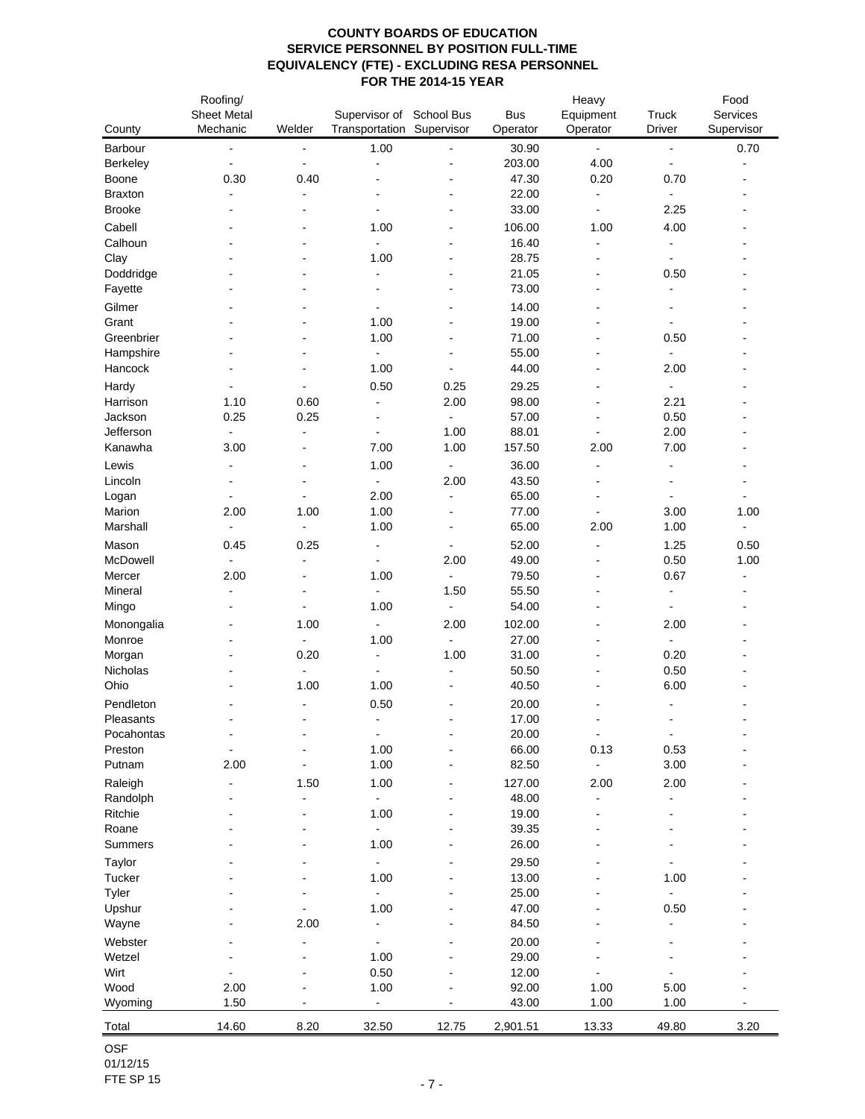| County           | Roofing/<br><b>Sheet Metal</b><br>Mechanic | Welder                 | Supervisor of School Bus<br>Transportation Supervisor |                | <b>Bus</b><br>Operator | Heavy<br>Equipment<br>Operator | Truck<br><b>Driver</b>       | Food<br>Services<br>Supervisor |
|------------------|--------------------------------------------|------------------------|-------------------------------------------------------|----------------|------------------------|--------------------------------|------------------------------|--------------------------------|
| Barbour          | $\overline{a}$                             | $\blacksquare$         | 1.00                                                  |                | 30.90                  | $\blacksquare$                 | $\qquad \qquad \blacksquare$ | 0.70                           |
| Berkeley         | $\blacksquare$                             | $\sim$                 | ä,                                                    |                | 203.00                 | 4.00                           | $\overline{a}$               |                                |
| Boone            | 0.30                                       | 0.40                   |                                                       |                | 47.30                  | 0.20                           | 0.70                         |                                |
| <b>Braxton</b>   | $\overline{a}$                             | $\blacksquare$         |                                                       |                | 22.00                  | ۰                              | $\overline{\phantom{a}}$     |                                |
| <b>Brooke</b>    |                                            |                        |                                                       |                | 33.00                  | $\blacksquare$                 | 2.25                         |                                |
| Cabell           |                                            |                        | 1.00                                                  |                | 106.00                 | 1.00                           | 4.00                         |                                |
| Calhoun          |                                            |                        | ä,                                                    |                | 16.40                  | ÷                              | ÷,                           |                                |
| Clay             |                                            |                        | 1.00                                                  |                | 28.75                  | $\overline{a}$                 | ÷,                           |                                |
| Doddridge        |                                            |                        | ä,                                                    |                | 21.05                  |                                | 0.50                         |                                |
| Fayette          |                                            |                        |                                                       |                | 73.00                  |                                |                              |                                |
| Gilmer           |                                            |                        | ä,                                                    |                | 14.00                  |                                |                              |                                |
| Grant            |                                            |                        | 1.00                                                  |                | 19.00                  |                                | L,                           |                                |
| Greenbrier       |                                            |                        | 1.00                                                  |                | 71.00                  |                                | 0.50                         |                                |
| Hampshire        |                                            | $\ddot{\phantom{1}}$   | $\blacksquare$                                        |                | 55.00                  | $\blacksquare$                 | $\blacksquare$               |                                |
| Hancock          |                                            |                        | 1.00                                                  |                | 44.00                  |                                | 2.00                         |                                |
| Hardy            |                                            | $\blacksquare$         | 0.50                                                  | 0.25           | 29.25                  | ۰                              | $\blacksquare$               |                                |
| Harrison         | 1.10                                       | 0.60                   | $\blacksquare$                                        | 2.00           | 98.00                  | $\blacksquare$                 | 2.21                         |                                |
| Jackson          | 0.25                                       | 0.25                   | ä,                                                    | $\blacksquare$ | 57.00                  |                                | 0.50                         |                                |
| Jefferson        | $\blacksquare$                             | $\blacksquare$         | ä,                                                    | 1.00           | 88.01                  |                                | 2.00                         |                                |
| Kanawha          | 3.00                                       | ä,                     | 7.00                                                  | 1.00           | 157.50                 | 2.00                           | 7.00                         |                                |
| Lewis            |                                            | $\blacksquare$         | 1.00                                                  | $\blacksquare$ | 36.00                  |                                |                              |                                |
| Lincoln          | $\overline{a}$                             |                        | $\blacksquare$                                        | 2.00           | 43.50                  | $\blacksquare$                 | $\blacksquare$               |                                |
| Logan            | $\blacksquare$                             | $\blacksquare$         | 2.00                                                  | $\blacksquare$ | 65.00                  | $\overline{a}$                 | $\blacksquare$               |                                |
| Marion           | 2.00                                       | 1.00                   | 1.00                                                  | $\blacksquare$ | 77.00                  |                                | 3.00                         | 1.00                           |
| Marshall         | $\sim$                                     | $\sim$                 | 1.00                                                  | $\blacksquare$ | 65.00                  | 2.00                           | 1.00                         | $\blacksquare$                 |
| Mason            | 0.45                                       | 0.25                   | ä,                                                    |                | 52.00                  |                                | 1.25                         | 0.50                           |
| McDowell         | $\blacksquare$                             | $\blacksquare$         | ä,                                                    | 2.00           | 49.00                  |                                | 0.50                         | 1.00                           |
| Mercer           | 2.00                                       | $\blacksquare$         | 1.00                                                  | ä,             | 79.50                  | $\blacksquare$                 | 0.67                         | $\blacksquare$                 |
| Mineral          | $\blacksquare$                             | $\blacksquare$         | $\blacksquare$                                        | 1.50           | 55.50                  |                                | $\blacksquare$               |                                |
| Mingo            | $\overline{\phantom{0}}$                   | $\blacksquare$         | 1.00                                                  | $\blacksquare$ | 54.00                  |                                | $\blacksquare$               |                                |
|                  |                                            |                        |                                                       |                |                        |                                |                              |                                |
| Monongalia       | $\overline{a}$                             | 1.00                   | $\blacksquare$                                        | 2.00           | 102.00                 |                                | 2.00                         |                                |
| Monroe           |                                            | $\blacksquare$         | 1.00<br>$\blacksquare$                                | $\blacksquare$ | 27.00                  |                                | $\blacksquare$               |                                |
| Morgan           |                                            | 0.20<br>$\blacksquare$ | $\sim$                                                | 1.00<br>ä,     | 31.00                  |                                | 0.20                         |                                |
| Nicholas<br>Ohio |                                            | 1.00                   | 1.00                                                  | $\overline{a}$ | 50.50<br>40.50         |                                | 0.50<br>6.00                 |                                |
|                  |                                            |                        |                                                       |                |                        |                                |                              |                                |
| Pendleton        |                                            | L,                     | 0.50                                                  |                | 20.00                  |                                | L,                           |                                |
| Pleasants        | $\blacksquare$                             | $\blacksquare$         | $\blacksquare$                                        | $\overline{a}$ | 17.00                  | ä,                             | $\blacksquare$               |                                |
| Pocahontas       | $\overline{a}$                             |                        | $\blacksquare$                                        |                | 20.00                  | $\frac{1}{2}$                  | $\blacksquare$               |                                |
| Preston          |                                            |                        | 1.00                                                  |                | 66.00                  | 0.13                           | 0.53                         |                                |
| Putnam           | 2.00                                       |                        | 1.00                                                  |                | 82.50                  | $\overline{a}$                 | 3.00                         |                                |
| Raleigh          |                                            | 1.50                   | 1.00                                                  |                | 127.00                 | 2.00                           | 2.00                         |                                |
| Randolph         |                                            |                        | $\frac{1}{2}$                                         |                | 48.00                  |                                |                              |                                |
| Ritchie          |                                            |                        | 1.00                                                  |                | 19.00                  |                                |                              |                                |
| Roane            |                                            |                        | $\blacksquare$                                        |                | 39.35                  |                                |                              |                                |
| Summers          |                                            |                        | 1.00                                                  |                | 26.00                  |                                |                              |                                |
| Taylor           |                                            |                        |                                                       |                | 29.50                  |                                |                              |                                |
| Tucker           |                                            |                        | 1.00                                                  |                | 13.00                  |                                | 1.00                         |                                |
| Tyler            |                                            |                        |                                                       |                | 25.00                  |                                |                              |                                |
| Upshur           |                                            |                        | 1.00                                                  |                | 47.00                  |                                | 0.50                         |                                |
| Wayne            |                                            | 2.00                   |                                                       |                | 84.50                  |                                |                              |                                |
| Webster          |                                            |                        |                                                       |                | 20.00                  |                                |                              |                                |
| Wetzel           |                                            |                        | 1.00                                                  |                | 29.00                  |                                |                              |                                |
| Wirt             |                                            |                        | 0.50                                                  |                | 12.00                  |                                |                              |                                |
| Wood             | 2.00                                       |                        | 1.00                                                  |                | 92.00                  | 1.00                           | 5.00                         |                                |
| Wyoming          | 1.50                                       |                        |                                                       |                | 43.00                  | 1.00                           | 1.00                         |                                |
| Total            | 14.60                                      | 8.20                   | 32.50                                                 | 12.75          | 2,901.51               | 13.33                          | 49.80                        | 3.20                           |
|                  |                                            |                        |                                                       |                |                        |                                |                              |                                |